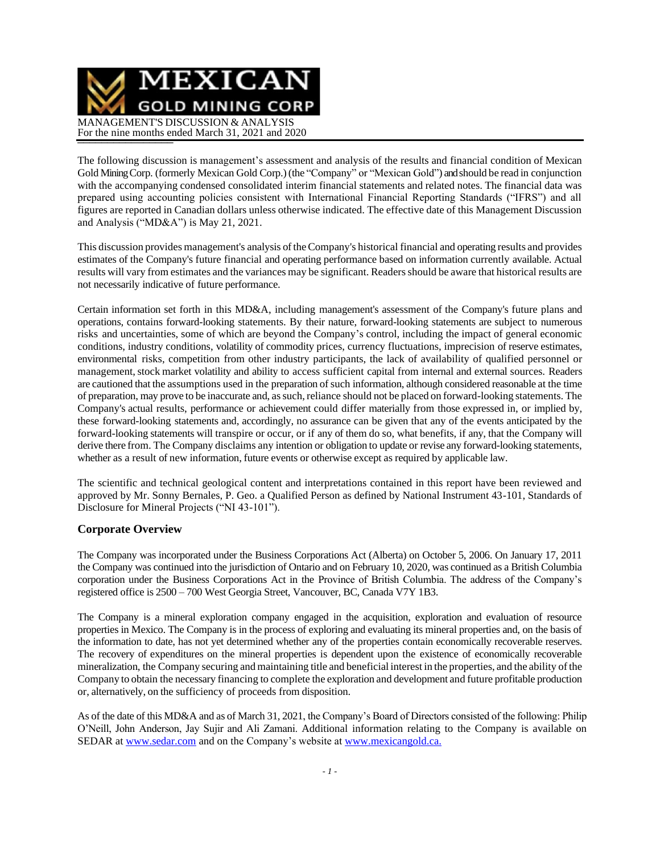MEXICAN **GOLD MINING CORP** MANAGEMENT'S DISCUSSION & ANALYSIS For the nine months ended March 31, 2021 and 2020

The following discussion is management's assessment and analysis of the results and financial condition of Mexican Gold Mining Corp. (formerly Mexican Gold Corp.) (the "Company" or "Mexican Gold") and should be read in conjunction with the accompanying condensed consolidated interim financial statements and related notes. The financial data was prepared using accounting policies consistent with International Financial Reporting Standards ("IFRS") and all figures are reported in Canadian dollars unless otherwise indicated. The effective date of this Management Discussion and Analysis ("MD&A") is May 21, 2021.

This discussion provides management's analysis oftheCompany's historical financial and operating results and provides estimates of the Company's future financial and operating performance based on information currently available. Actual results will vary from estimates and the variances may be significant. Readers should be aware that historical results are not necessarily indicative of future performance.

Certain information set forth in this MD&A, including management's assessment of the Company's future plans and operations, contains forward-looking statements. By their nature, forward-looking statements are subject to numerous risks and uncertainties, some of which are beyond the Company's control, including the impact of general economic conditions, industry conditions, volatility of commodity prices, currency fluctuations, imprecision of reserve estimates, environmental risks, competition from other industry participants, the lack of availability of qualified personnel or management, stock market volatility and ability to access sufficient capital from internal and external sources. Readers are cautioned that the assumptions used in the preparation of such information, although considered reasonable at the time of preparation, may prove to be inaccurate and, assuch,reliance should not be placed on forward-looking statements. The Company's actual results, performance or achievement could differ materially from those expressed in, or implied by, these forward-looking statements and, accordingly, no assurance can be given that any of the events anticipated by the forward-looking statements will transpire or occur, or if any of them do so, what benefits, if any, that the Company will derive there from. The Company disclaims any intention or obligation to update or revise any forward-looking statements, whether as a result of new information, future events or otherwise except as required by applicable law.

The scientific and technical geological content and interpretations contained in this report have been reviewed and approved by Mr. Sonny Bernales, P. Geo. a Qualified Person as defined by National Instrument 43-101, Standards of Disclosure for Mineral Projects ("NI 43-101").

### **Corporate Overview**

The Company was incorporated under the Business Corporations Act (Alberta) on October 5, 2006. On January 17, 2011 the Company was continued into the jurisdiction of Ontario and on February 10, 2020, was continued as a British Columbia corporation under the Business Corporations Act in the Province of British Columbia. The address of the Company's registered office is 2500 – 700 West Georgia Street, Vancouver, BC, Canada V7Y 1B3.

The Company is a mineral exploration company engaged in the acquisition, exploration and evaluation of resource properties in Mexico. The Company is in the process of exploring and evaluating its mineral properties and, on the basis of the information to date, has not yet determined whether any of the properties contain economically recoverable reserves. The recovery of expenditures on the mineral properties is dependent upon the existence of economically recoverable mineralization, the Company securing and maintaining title and beneficial interest in the properties, and the ability ofthe Company to obtain the necessary financing to complete the exploration and development and future profitable production or, alternatively, on the sufficiency of proceeds from disposition.

As of the date of this MD&A and as of March 31, 2021, the Company's Board of Directors consisted of the following: Philip O'Neill, John Anderson, Jay Sujir and Ali Zamani. Additional information relating to the Company is available on SEDAR at [www.sedar.com](http://www.sedar.com/) and on the Company's website at [www.mexicangold.ca.](http://www.mexicangold.ca./)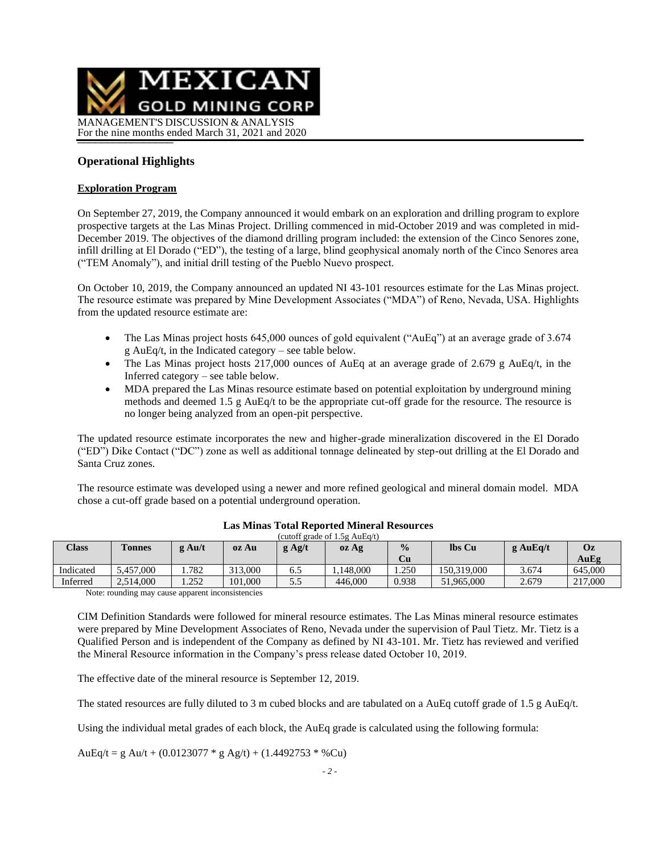

### **Operational Highlights**

#### **Exploration Program**

On September 27, 2019, the Company announced it would embark on an exploration and drilling program to explore prospective targets at the Las Minas Project. Drilling commenced in mid-October 2019 and was completed in mid-December 2019. The objectives of the diamond drilling program included: the extension of the Cinco Senores zone, infill drilling at El Dorado ("ED"), the testing of a large, blind geophysical anomaly north of the Cinco Senores area ("TEM Anomaly"), and initial drill testing of the Pueblo Nuevo prospect.

On October 10, 2019, the Company announced an updated NI 43-101 resources estimate for the Las Minas project. The resource estimate was prepared by Mine Development Associates ("MDA") of Reno, Nevada, USA. Highlights from the updated resource estimate are:

- The Las Minas project hosts 645,000 ounces of gold equivalent ("AuEq") at an average grade of 3.674 g AuEq/t, in the Indicated category – see table below.
- The Las Minas project hosts 217,000 ounces of AuEq at an average grade of 2.679 g AuEq/t, in the Inferred category – see table below.
- MDA prepared the Las Minas resource estimate based on potential exploitation by underground mining methods and deemed 1.5 g AuEq/t to be the appropriate cut-off grade for the resource. The resource is no longer being analyzed from an open-pit perspective.

The updated resource estimate incorporates the new and higher-grade mineralization discovered in the El Dorado ("ED") Dike Contact ("DC") zone as well as additional tonnage delineated by step-out drilling at the El Dorado and Santa Cruz zones.

The resource estimate was developed using a newer and more refined geological and mineral domain model. MDA chose a cut-off grade based on a potential underground operation.

| Class     | <b>Tonnes</b> | $g \text{Au/t}$ | oz Au   | $g$ Ag/t | oz Ag    | $\frac{0}{0}$<br>Cu | lbs Cu      | $g$ AuEa/t | Oz<br>AuEg |
|-----------|---------------|-----------------|---------|----------|----------|---------------------|-------------|------------|------------|
| Indicated | 5.457,000     | 1.782           | 313,000 | 6.J      | .148.000 | . . 250             | 150.319.000 | 3.674      | 645,000    |
| Inferred  | 2,514,000     | 1.252           | 101.000 | ر. ر     | 446.000  | 0.938               | 51,965,000  | 2.679      | 217,000    |

#### **Las Minas Total Reported Mineral Resources** (cutoff grade of 1.5g AuEq/t)

Note: rounding may cause apparent inconsistencies

CIM Definition Standards were followed for mineral resource estimates. The Las Minas mineral resource estimates were prepared by Mine Development Associates of Reno, Nevada under the supervision of Paul Tietz. Mr. Tietz is a Qualified Person and is independent of the Company as defined by NI 43-101. Mr. Tietz has reviewed and verified the Mineral Resource information in the Company's press release dated October 10, 2019.

The effective date of the mineral resource is September 12, 2019.

The stated resources are fully diluted to 3 m cubed blocks and are tabulated on a AuEq cutoff grade of 1.5 g AuEq/t.

Using the individual metal grades of each block, the AuEq grade is calculated using the following formula:

AuEq/t = g Au/t + (0.0123077  $*$  g Ag/t) + (1.4492753  $*$  %Cu)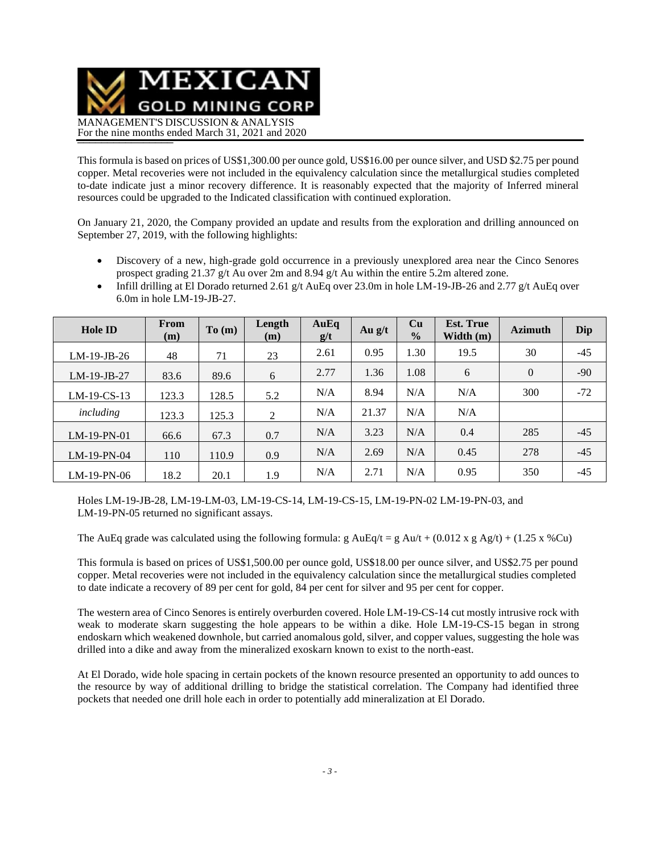

This formula is based on prices of US\$1,300.00 per ounce gold, US\$16.00 per ounce silver, and USD \$2.75 per pound copper. Metal recoveries were not included in the equivalency calculation since the metallurgical studies completed to-date indicate just a minor recovery difference. It is reasonably expected that the majority of Inferred mineral resources could be upgraded to the Indicated classification with continued exploration.

On January 21, 2020, the Company provided an update and results from the exploration and drilling announced on September 27, 2019, with the following highlights:

- Discovery of a new, high-grade gold occurrence in a previously unexplored area near the Cinco Senores prospect grading 21.37 g/t Au over 2m and 8.94 g/t Au within the entire 5.2m altered zone.
- Infill drilling at El Dorado returned 2.61 g/t AuEq over 23.0m in hole LM-19-JB-26 and 2.77 g/t AuEq over 6.0m in hole LM-19-JB-27.

| <b>Hole ID</b> | From<br>(m) | To(m) | Length<br>(m) | AuEq<br>g/t | Au $g/t$ | Cu<br>$\frac{0}{0}$ | <b>Est. True</b><br>Width $(m)$ | <b>Azimuth</b> | Dip   |
|----------------|-------------|-------|---------------|-------------|----------|---------------------|---------------------------------|----------------|-------|
| $LM-19-JB-26$  | 48          | 71    | 23            | 2.61        | 0.95     | 1.30                | 19.5                            | 30             | $-45$ |
| $LM-19-JB-27$  | 83.6        | 89.6  | 6             | 2.77        | 1.36     | 1.08                | 6                               | $\overline{0}$ | $-90$ |
| $LM-19-CS-13$  | 123.3       | 128.5 | 5.2           | N/A         | 8.94     | N/A                 | N/A                             | 300            | $-72$ |
| including      | 123.3       | 125.3 | 2             | N/A         | 21.37    | N/A                 | N/A                             |                |       |
| $LM-19-PN-01$  | 66.6        | 67.3  | 0.7           | N/A         | 3.23     | N/A                 | 0.4                             | 285            | $-45$ |
| $LM-19-PN-04$  | 110         | 110.9 | 0.9           | N/A         | 2.69     | N/A                 | 0.45                            | 278            | $-45$ |
| $LM-19-PN-06$  | 18.2        | 20.1  | 1.9           | N/A         | 2.71     | N/A                 | 0.95                            | 350            | $-45$ |

Holes LM-19-JB-28, LM-19-LM-03, LM-19-CS-14, LM-19-CS-15, LM-19-PN-02 LM-19-PN-03, and LM-19-PN-05 returned no significant assays.

The AuEq grade was calculated using the following formula: g AuEq/t = g Au/t + (0.012 x g Ag/t) + (1.25 x %Cu)

This formula is based on prices of US\$1,500.00 per ounce gold, US\$18.00 per ounce silver, and US\$2.75 per pound copper. Metal recoveries were not included in the equivalency calculation since the metallurgical studies completed to date indicate a recovery of 89 per cent for gold, 84 per cent for silver and 95 per cent for copper.

The western area of Cinco Senores is entirely overburden covered. Hole LM-19-CS-14 cut mostly intrusive rock with weak to moderate skarn suggesting the hole appears to be within a dike. Hole LM-19-CS-15 began in strong endoskarn which weakened downhole, but carried anomalous gold, silver, and copper values, suggesting the hole was drilled into a dike and away from the mineralized exoskarn known to exist to the north-east.

At El Dorado, wide hole spacing in certain pockets of the known resource presented an opportunity to add ounces to the resource by way of additional drilling to bridge the statistical correlation. The Company had identified three pockets that needed one drill hole each in order to potentially add mineralization at El Dorado.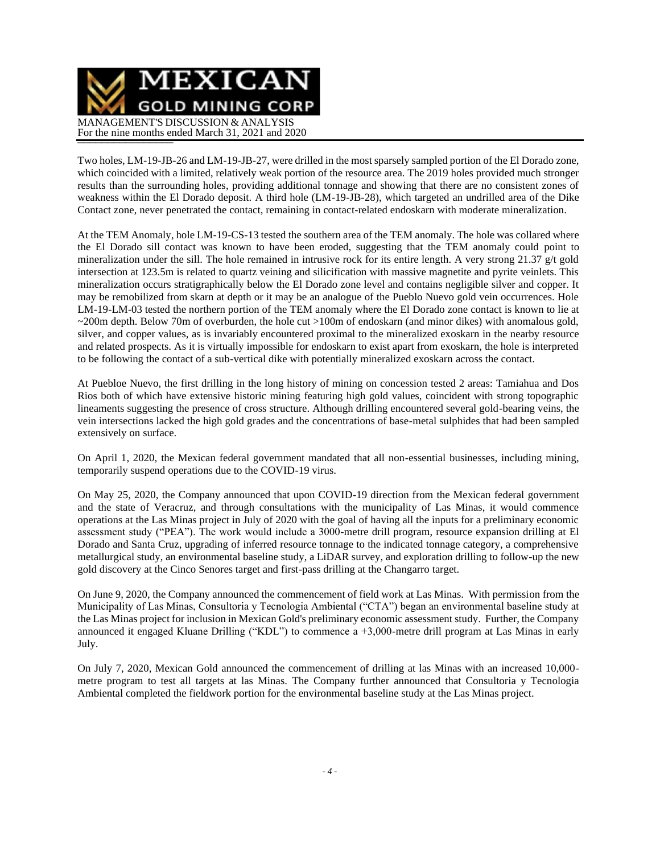

Two holes, LM-19-JB-26 and LM-19-JB-27, were drilled in the most sparsely sampled portion of the El Dorado zone, which coincided with a limited, relatively weak portion of the resource area. The 2019 holes provided much stronger results than the surrounding holes, providing additional tonnage and showing that there are no consistent zones of weakness within the El Dorado deposit. A third hole (LM-19-JB-28), which targeted an undrilled area of the Dike Contact zone, never penetrated the contact, remaining in contact-related endoskarn with moderate mineralization.

At the TEM Anomaly, hole LM-19-CS-13 tested the southern area of the TEM anomaly. The hole was collared where the El Dorado sill contact was known to have been eroded, suggesting that the TEM anomaly could point to mineralization under the sill. The hole remained in intrusive rock for its entire length. A very strong 21.37 g/t gold intersection at 123.5m is related to quartz veining and silicification with massive magnetite and pyrite veinlets. This mineralization occurs stratigraphically below the El Dorado zone level and contains negligible silver and copper. It may be remobilized from skarn at depth or it may be an analogue of the Pueblo Nuevo gold vein occurrences. Hole LM-19-LM-03 tested the northern portion of the TEM anomaly where the El Dorado zone contact is known to lie at ~200m depth. Below 70m of overburden, the hole cut >100m of endoskarn (and minor dikes) with anomalous gold, silver, and copper values, as is invariably encountered proximal to the mineralized exoskarn in the nearby resource and related prospects. As it is virtually impossible for endoskarn to exist apart from exoskarn, the hole is interpreted to be following the contact of a sub-vertical dike with potentially mineralized exoskarn across the contact.

At Puebloe Nuevo, the first drilling in the long history of mining on concession tested 2 areas: Tamiahua and Dos Rios both of which have extensive historic mining featuring high gold values, coincident with strong topographic lineaments suggesting the presence of cross structure. Although drilling encountered several gold-bearing veins, the vein intersections lacked the high gold grades and the concentrations of base-metal sulphides that had been sampled extensively on surface.

On April 1, 2020, the Mexican federal government mandated that all non-essential businesses, including mining, temporarily suspend operations due to the COVID-19 virus.

On May 25, 2020, the Company announced that upon COVID-19 direction from the Mexican federal government and the state of Veracruz, and through consultations with the municipality of Las Minas, it would commence operations at the Las Minas project in July of 2020 with the goal of having all the inputs for a preliminary economic assessment study ("PEA"). The work would include a 3000-metre drill program, resource expansion drilling at El Dorado and Santa Cruz, upgrading of inferred resource tonnage to the indicated tonnage category, a comprehensive metallurgical study, an environmental baseline study, a LiDAR survey, and exploration drilling to follow-up the new gold discovery at the Cinco Senores target and first-pass drilling at the Changarro target.

On June 9, 2020, the Company announced the commencement of field work at Las Minas. With permission from the Municipality of Las Minas, Consultoria y Tecnologia Ambiental ("CTA") began an environmental baseline study at the Las Minas project for inclusion in Mexican Gold's preliminary economic assessment study. Further, the Company announced it engaged Kluane Drilling ("KDL") to commence a +3,000-metre drill program at Las Minas in early July.

On July 7, 2020, Mexican Gold announced the commencement of drilling at las Minas with an increased 10,000 metre program to test all targets at las Minas. The Company further announced that Consultoria y Tecnologia Ambiental completed the fieldwork portion for the environmental baseline study at the Las Minas project.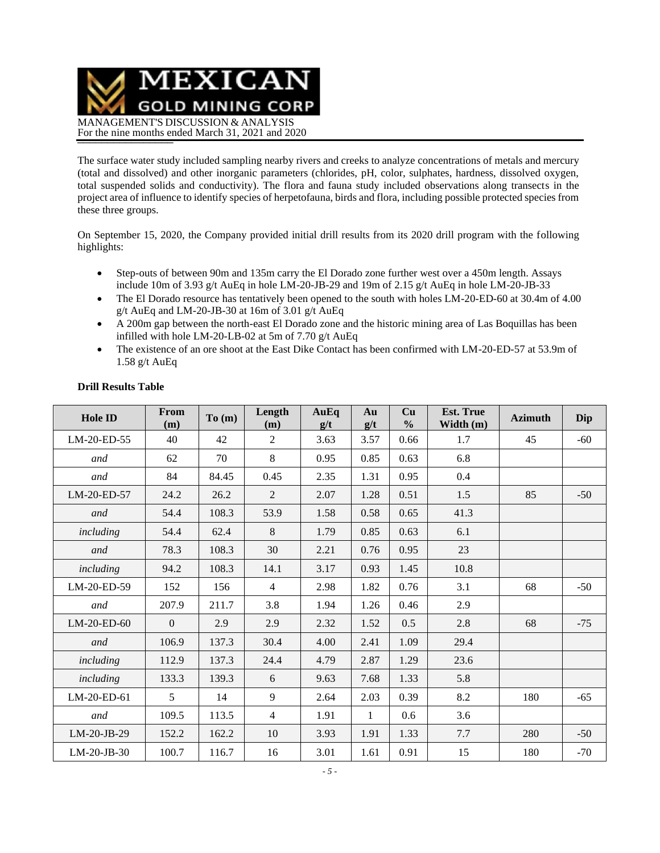MEXICAN **GOLD MINING CORP** MANAGEMENT'S DISCUSSION & ANALYSIS For the nine months ended March 31, 2021 and 2020

The surface water study included sampling nearby rivers and creeks to analyze concentrations of metals and mercury (total and dissolved) and other inorganic parameters (chlorides, pH, color, sulphates, hardness, dissolved oxygen, total suspended solids and conductivity). The flora and fauna study included observations along transects in the project area of influence to identify species of herpetofauna, birds and flora, including possible protected species from these three groups.

On September 15, 2020, the Company provided initial drill results from its 2020 drill program with the following highlights:

- Step-outs of between 90m and 135m carry the El Dorado zone further west over a 450m length. Assays include 10m of 3.93 g/t AuEq in hole LM-20-JB-29 and 19m of 2.15 g/t AuEq in hole LM-20-JB-33
- The El Dorado resource has tentatively been opened to the south with holes LM-20-ED-60 at 30.4m of 4.00 g/t AuEq and LM-20-JB-30 at 16m of 3.01 g/t AuEq
- A 200m gap between the north-east El Dorado zone and the historic mining area of Las Boquillas has been infilled with hole LM-20-LB-02 at 5m of 7.70 g/t AuEq
- The existence of an ore shoot at the East Dike Contact has been confirmed with LM-20-ED-57 at 53.9m of 1.58 g/t AuEq

| <b>Hole ID</b> | From<br>(m)    | To(m) | Length<br>(m)  | AuEq<br>g/t | Au<br>g/t    | Cu<br>$\frac{0}{0}$ | <b>Est. True</b><br>Width (m) | <b>Azimuth</b> | Dip   |
|----------------|----------------|-------|----------------|-------------|--------------|---------------------|-------------------------------|----------------|-------|
| LM-20-ED-55    | 40             | 42    | $\overline{2}$ | 3.63        | 3.57         | 0.66                | 1.7                           | 45             | $-60$ |
| and            | 62             | 70    | 8              | 0.95        | 0.85         | 0.63                | 6.8                           |                |       |
| and            | 84             | 84.45 | 0.45           | 2.35        | 1.31         | 0.95                | 0.4                           |                |       |
| LM-20-ED-57    | 24.2           | 26.2  | $\overline{2}$ | 2.07        | 1.28         | 0.51                | 1.5                           | 85             | $-50$ |
| and            | 54.4           | 108.3 | 53.9           | 1.58        | 0.58         | 0.65                | 41.3                          |                |       |
| including      | 54.4           | 62.4  | 8              | 1.79        | 0.85         | 0.63                | 6.1                           |                |       |
| and            | 78.3           | 108.3 | 30             | 2.21        | 0.76         | 0.95                | 23                            |                |       |
| including      | 94.2           | 108.3 | 14.1           | 3.17        | 0.93         | 1.45                | 10.8                          |                |       |
| LM-20-ED-59    | 152            | 156   | $\overline{4}$ | 2.98        | 1.82         | 0.76                | 3.1                           | 68             | $-50$ |
| and            | 207.9          | 211.7 | 3.8            | 1.94        | 1.26         | 0.46                | 2.9                           |                |       |
| LM-20-ED-60    | $\mathbf{0}$   | 2.9   | 2.9            | 2.32        | 1.52         | 0.5                 | 2.8                           | 68             | $-75$ |
| and            | 106.9          | 137.3 | 30.4           | 4.00        | 2.41         | 1.09                | 29.4                          |                |       |
| including      | 112.9          | 137.3 | 24.4           | 4.79        | 2.87         | 1.29                | 23.6                          |                |       |
| including      | 133.3          | 139.3 | 6              | 9.63        | 7.68         | 1.33                | 5.8                           |                |       |
| LM-20-ED-61    | 5 <sup>5</sup> | 14    | 9              | 2.64        | 2.03         | 0.39                | 8.2                           | 180            | $-65$ |
| and            | 109.5          | 113.5 | $\overline{4}$ | 1.91        | $\mathbf{1}$ | 0.6                 | 3.6                           |                |       |
| LM-20-JB-29    | 152.2          | 162.2 | 10             | 3.93        | 1.91         | 1.33                | 7.7                           | 280            | $-50$ |
| LM-20-JB-30    | 100.7          | 116.7 | 16             | 3.01        | 1.61         | 0.91                | 15                            | 180            | $-70$ |

### **Drill Results Table**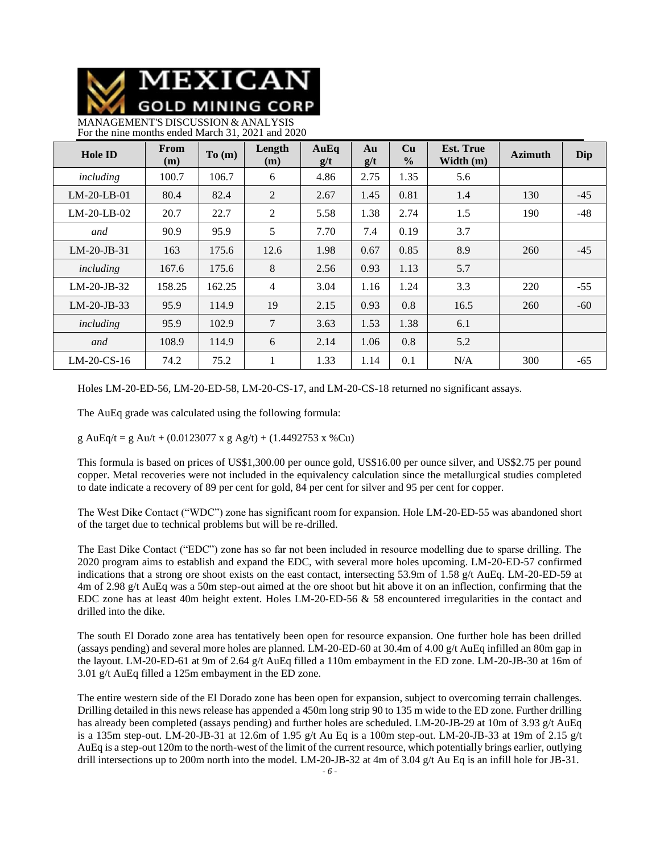MEXICAN **GOLD MINING CORP** 

MANAGEMENT'S DISCUSSION & ANALYSIS For the nine months ended March 31, 2021 and 2020

| <b>Hole ID</b> | <b>From</b><br>(m) | To(m)  | Length<br>(m)  | AuEq<br>g/t | Au<br>g/t | Cu<br>$\frac{0}{0}$ | <b>Est. True</b><br>Width $(m)$ | <b>Azimuth</b> | Dip   |
|----------------|--------------------|--------|----------------|-------------|-----------|---------------------|---------------------------------|----------------|-------|
| including      | 100.7              | 106.7  | 6              | 4.86        | 2.75      | 1.35                | 5.6                             |                |       |
| $LM-20-LB-01$  | 80.4               | 82.4   | 2              | 2.67        | 1.45      | 0.81                | 1.4                             | 130            | $-45$ |
| $LM-20-LB-02$  | 20.7               | 22.7   | 2              | 5.58        | 1.38      | 2.74                | 1.5                             | 190            | $-48$ |
| and            | 90.9               | 95.9   | 5              | 7.70        | 7.4       | 0.19                | 3.7                             |                |       |
| $LM-20-JB-31$  | 163                | 175.6  | 12.6           | 1.98        | 0.67      | 0.85                | 8.9                             | 260            | $-45$ |
| including      | 167.6              | 175.6  | 8              | 2.56        | 0.93      | 1.13                | 5.7                             |                |       |
| $LM-20-JB-32$  | 158.25             | 162.25 | $\overline{4}$ | 3.04        | 1.16      | 1.24                | 3.3                             | 220            | $-55$ |
| $LM-20-JB-33$  | 95.9               | 114.9  | 19             | 2.15        | 0.93      | 0.8                 | 16.5                            | 260            | $-60$ |
| including      | 95.9               | 102.9  | 7              | 3.63        | 1.53      | 1.38                | 6.1                             |                |       |
| and            | 108.9              | 114.9  | 6              | 2.14        | 1.06      | 0.8                 | 5.2                             |                |       |
| $LM-20$ -CS-16 | 74.2               | 75.2   | 1              | 1.33        | 1.14      | 0.1                 | N/A                             | 300            | $-65$ |

Holes LM-20-ED-56, LM-20-ED-58, LM-20-CS-17, and LM-20-CS-18 returned no significant assays.

The AuEq grade was calculated using the following formula:

g AuEq/t = g Au/t + (0.0123077 x g Ag/t) + (1.4492753 x %Cu)

This formula is based on prices of US\$1,300.00 per ounce gold, US\$16.00 per ounce silver, and US\$2.75 per pound copper. Metal recoveries were not included in the equivalency calculation since the metallurgical studies completed to date indicate a recovery of 89 per cent for gold, 84 per cent for silver and 95 per cent for copper.

The West Dike Contact ("WDC") zone has significant room for expansion. Hole LM-20-ED-55 was abandoned short of the target due to technical problems but will be re-drilled.

The East Dike Contact ("EDC") zone has so far not been included in resource modelling due to sparse drilling. The 2020 program aims to establish and expand the EDC, with several more holes upcoming. LM-20-ED-57 confirmed indications that a strong ore shoot exists on the east contact, intersecting 53.9m of 1.58 g/t AuEq. LM-20-ED-59 at 4m of 2.98 g/t AuEq was a 50m step-out aimed at the ore shoot but hit above it on an inflection, confirming that the EDC zone has at least 40m height extent. Holes LM-20-ED-56 & 58 encountered irregularities in the contact and drilled into the dike.

The south El Dorado zone area has tentatively been open for resource expansion. One further hole has been drilled (assays pending) and several more holes are planned. LM-20-ED-60 at 30.4m of 4.00 g/t AuEq infilled an 80m gap in the layout. LM-20-ED-61 at 9m of 2.64 g/t AuEq filled a 110m embayment in the ED zone. LM-20-JB-30 at 16m of 3.01 g/t AuEq filled a 125m embayment in the ED zone.

The entire western side of the El Dorado zone has been open for expansion, subject to overcoming terrain challenges. Drilling detailed in this news release has appended a 450m long strip 90 to 135 m wide to the ED zone. Further drilling has already been completed (assays pending) and further holes are scheduled. LM-20-JB-29 at 10m of 3.93 g/t AuEq is a 135m step-out. LM-20-JB-31 at 12.6m of 1.95 g/t Au Eq is a 100m step-out. LM-20-JB-33 at 19m of 2.15 g/t AuEq is a step-out 120m to the north-west of the limit of the current resource, which potentially brings earlier, outlying drill intersections up to 200m north into the model. LM-20-JB-32 at 4m of 3.04 g/t Au Eq is an infill hole for JB-31.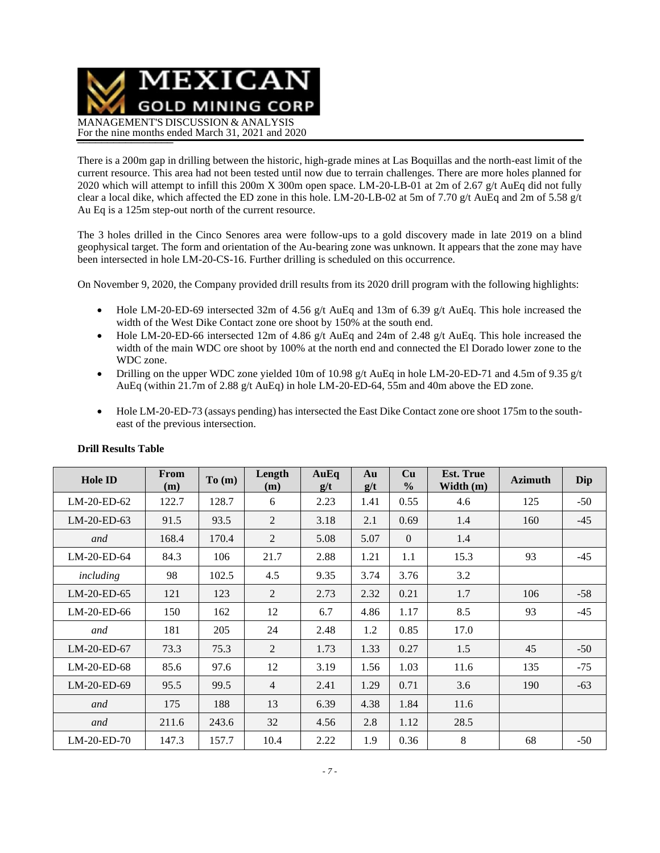MEXICAN **GOLD MINING CORP** MANAGEMENT'S DISCUSSION & ANALYSIS For the nine months ended March 31, 2021 and 2020

There is a 200m gap in drilling between the historic, high-grade mines at Las Boquillas and the north-east limit of the current resource. This area had not been tested until now due to terrain challenges. There are more holes planned for 2020 which will attempt to infill this 200m X 300m open space. LM-20-LB-01 at 2m of 2.67 g/t AuEq did not fully clear a local dike, which affected the ED zone in this hole. LM-20-LB-02 at 5m of 7.70 g/t AuEq and 2m of 5.58 g/t Au Eq is a 125m step-out north of the current resource.

The 3 holes drilled in the Cinco Senores area were follow-ups to a gold discovery made in late 2019 on a blind geophysical target. The form and orientation of the Au-bearing zone was unknown. It appears that the zone may have been intersected in hole LM-20-CS-16. Further drilling is scheduled on this occurrence.

On November 9, 2020, the Company provided drill results from its 2020 drill program with the following highlights:

- Hole LM-20-ED-69 intersected 32m of 4.56 g/t AuEq and 13m of 6.39 g/t AuEq. This hole increased the width of the West Dike Contact zone ore shoot by 150% at the south end.
- Hole LM-20-ED-66 intersected 12m of 4.86 g/t AuEq and 24m of 2.48 g/t AuEq. This hole increased the width of the main WDC ore shoot by 100% at the north end and connected the El Dorado lower zone to the WDC zone.
- Drilling on the upper WDC zone yielded 10m of 10.98 g/t AuEq in hole LM-20-ED-71 and 4.5m of 9.35 g/t AuEq (within 21.7m of 2.88 g/t AuEq) in hole LM-20-ED-64, 55m and 40m above the ED zone.
- Hole LM-20-ED-73 (assays pending) has intersected the East Dike Contact zone ore shoot 175m to the southeast of the previous intersection.

| <b>Hole ID</b> | From<br>(m) | To(m) | Length<br>(m)  | AuEq<br>g/t | Au<br>g/t | Cu<br>$\frac{0}{0}$ | <b>Est. True</b><br>Width (m) | <b>Azimuth</b> | Dip   |
|----------------|-------------|-------|----------------|-------------|-----------|---------------------|-------------------------------|----------------|-------|
| LM-20-ED-62    | 122.7       | 128.7 | 6              | 2.23        | 1.41      | 0.55                | 4.6                           | 125            | $-50$ |
| LM-20-ED-63    | 91.5        | 93.5  | 2              | 3.18        | 2.1       | 0.69                | 1.4                           | 160            | $-45$ |
| and            | 168.4       | 170.4 | 2              | 5.08        | 5.07      | $\overline{0}$      | 1.4                           |                |       |
| $LM-20-ED-64$  | 84.3        | 106   | 21.7           | 2.88        | 1.21      | 1.1                 | 15.3                          | 93             | $-45$ |
| including      | 98          | 102.5 | 4.5            | 9.35        | 3.74      | 3.76                | 3.2                           |                |       |
| LM-20-ED-65    | 121         | 123   | 2              | 2.73        | 2.32      | 0.21                | 1.7                           | 106            | $-58$ |
| LM-20-ED-66    | 150         | 162   | 12             | 6.7         | 4.86      | 1.17                | 8.5                           | 93             | $-45$ |
| and            | 181         | 205   | 24             | 2.48        | 1.2       | 0.85                | 17.0                          |                |       |
| $LM-20-ED-67$  | 73.3        | 75.3  | 2              | 1.73        | 1.33      | 0.27                | 1.5                           | 45             | $-50$ |
| LM-20-ED-68    | 85.6        | 97.6  | 12             | 3.19        | 1.56      | 1.03                | 11.6                          | 135            | $-75$ |
| LM-20-ED-69    | 95.5        | 99.5  | $\overline{4}$ | 2.41        | 1.29      | 0.71                | 3.6                           | 190            | $-63$ |
| and            | 175         | 188   | 13             | 6.39        | 4.38      | 1.84                | 11.6                          |                |       |
| and            | 211.6       | 243.6 | 32             | 4.56        | 2.8       | 1.12                | 28.5                          |                |       |
| LM-20-ED-70    | 147.3       | 157.7 | 10.4           | 2.22        | 1.9       | 0.36                | 8                             | 68             | $-50$ |

### **Drill Results Table**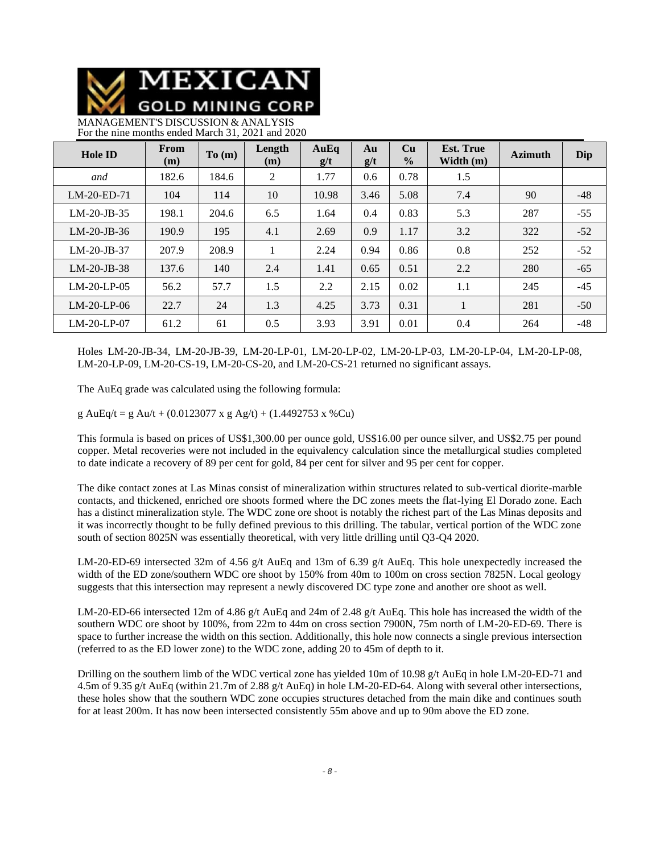MEXICAN **GOLD MINING CORP** 

MANAGEMENT'S DISCUSSION & ANALYSIS For the nine months ended March 31, 2021 and 2020

| <b>Hole ID</b> | From<br>(m) | To(m) | Length<br>(m) | AuEq<br>g/t | Au<br>g/t | Cu<br>$\frac{0}{0}$ | <b>Est. True</b><br>Width $(m)$ | <b>Azimuth</b> | Dip   |
|----------------|-------------|-------|---------------|-------------|-----------|---------------------|---------------------------------|----------------|-------|
| and            | 182.6       | 184.6 | 2             | 1.77        | 0.6       | 0.78                | 1.5                             |                |       |
| $LM-20-ED-71$  | 104         | 114   | 10            | 10.98       | 3.46      | 5.08                | 7.4                             | 90             | $-48$ |
| $LM-20-JB-35$  | 198.1       | 204.6 | 6.5           | 1.64        | 0.4       | 0.83                | 5.3                             | 287            | $-55$ |
| $LM-20-JB-36$  | 190.9       | 195   | 4.1           | 2.69        | 0.9       | 1.17                | 3.2                             | 322            | $-52$ |
| $LM-20-JB-37$  | 207.9       | 208.9 |               | 2.24        | 0.94      | 0.86                | 0.8                             | 252            | $-52$ |
| $LM-20-JB-38$  | 137.6       | 140   | 2.4           | 1.41        | 0.65      | 0.51                | 2.2                             | 280            | $-65$ |
| $LM-20-LP-05$  | 56.2        | 57.7  | 1.5           | 2.2         | 2.15      | 0.02                | 1.1                             | 245            | $-45$ |
| $LM-20-LP-06$  | 22.7        | 24    | 1.3           | 4.25        | 3.73      | 0.31                |                                 | 281            | $-50$ |
| $LM-20-LP-07$  | 61.2        | 61    | 0.5           | 3.93        | 3.91      | 0.01                | 0.4                             | 264            | $-48$ |

Holes LM-20-JB-34, LM-20-JB-39, LM-20-LP-01, LM-20-LP-02, LM-20-LP-03, LM-20-LP-04, LM-20-LP-08, LM-20-LP-09, LM-20-CS-19, LM-20-CS-20, and LM-20-CS-21 returned no significant assays.

The AuEq grade was calculated using the following formula:

g AuEq/t = g Au/t + (0.0123077 x g Ag/t) + (1.4492753 x %Cu)

This formula is based on prices of US\$1,300.00 per ounce gold, US\$16.00 per ounce silver, and US\$2.75 per pound copper. Metal recoveries were not included in the equivalency calculation since the metallurgical studies completed to date indicate a recovery of 89 per cent for gold, 84 per cent for silver and 95 per cent for copper.

The dike contact zones at Las Minas consist of mineralization within structures related to sub-vertical diorite-marble contacts, and thickened, enriched ore shoots formed where the DC zones meets the flat-lying El Dorado zone. Each has a distinct mineralization style. The WDC zone ore shoot is notably the richest part of the Las Minas deposits and it was incorrectly thought to be fully defined previous to this drilling. The tabular, vertical portion of the WDC zone south of section 8025N was essentially theoretical, with very little drilling until Q3-Q4 2020.

LM-20-ED-69 intersected 32m of 4.56 g/t AuEq and 13m of 6.39 g/t AuEq. This hole unexpectedly increased the width of the ED zone/southern WDC ore shoot by 150% from 40m to 100m on cross section 7825N. Local geology suggests that this intersection may represent a newly discovered DC type zone and another ore shoot as well.

LM-20-ED-66 intersected 12m of 4.86 g/t AuEq and 24m of 2.48 g/t AuEq. This hole has increased the width of the southern WDC ore shoot by 100%, from 22m to 44m on cross section 7900N, 75m north of LM-20-ED-69. There is space to further increase the width on this section. Additionally, this hole now connects a single previous intersection (referred to as the ED lower zone) to the WDC zone, adding 20 to 45m of depth to it.

Drilling on the southern limb of the WDC vertical zone has yielded 10m of 10.98 g/t AuEq in hole LM-20-ED-71 and 4.5m of 9.35 g/t AuEq (within 21.7m of 2.88 g/t AuEq) in hole LM-20-ED-64. Along with several other intersections, these holes show that the southern WDC zone occupies structures detached from the main dike and continues south for at least 200m. It has now been intersected consistently 55m above and up to 90m above the ED zone.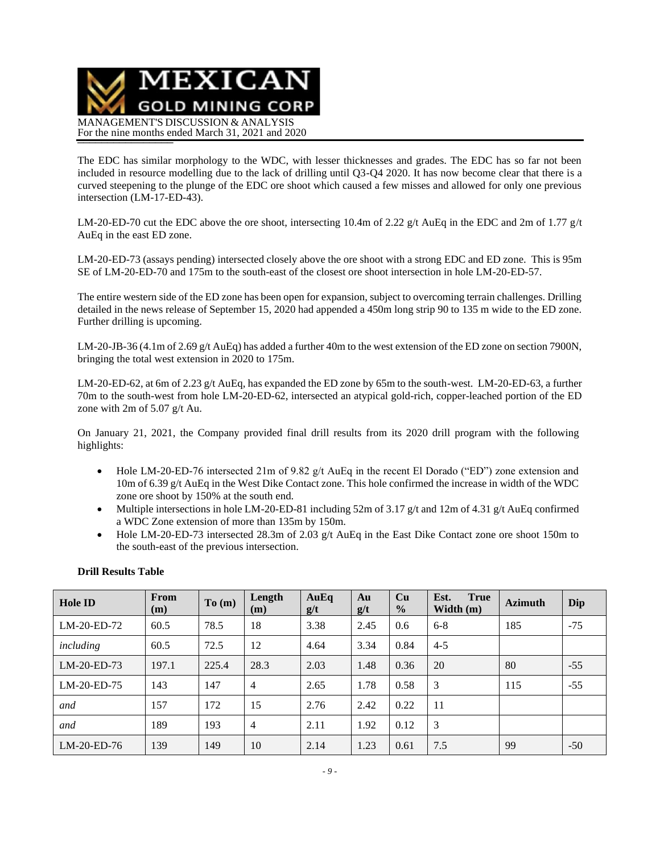

The EDC has similar morphology to the WDC, with lesser thicknesses and grades. The EDC has so far not been included in resource modelling due to the lack of drilling until Q3-Q4 2020. It has now become clear that there is a curved steepening to the plunge of the EDC ore shoot which caused a few misses and allowed for only one previous intersection (LM-17-ED-43).

LM-20-ED-70 cut the EDC above the ore shoot, intersecting 10.4m of 2.22 g/t AuEq in the EDC and 2m of 1.77 g/t AuEq in the east ED zone.

LM-20-ED-73 (assays pending) intersected closely above the ore shoot with a strong EDC and ED zone. This is 95m SE of LM-20-ED-70 and 175m to the south-east of the closest ore shoot intersection in hole LM-20-ED-57.

The entire western side of the ED zone has been open for expansion, subject to overcoming terrain challenges. Drilling detailed in the news release of September 15, 2020 had appended a 450m long strip 90 to 135 m wide to the ED zone. Further drilling is upcoming.

LM-20-JB-36 (4.1m of 2.69 g/t AuEq) has added a further 40m to the west extension of the ED zone on section 7900N, bringing the total west extension in 2020 to 175m.

LM-20-ED-62, at 6m of 2.23 g/t AuEq, has expanded the ED zone by 65m to the south-west. LM-20-ED-63, a further 70m to the south-west from hole LM-20-ED-62, intersected an atypical gold-rich, copper-leached portion of the ED zone with 2m of 5.07 g/t Au.

On January 21, 2021, the Company provided final drill results from its 2020 drill program with the following highlights:

- Hole LM-20-ED-76 intersected 21m of 9.82 g/t AuEq in the recent El Dorado ("ED") zone extension and 10m of 6.39 g/t AuEq in the West Dike Contact zone. This hole confirmed the increase in width of the WDC zone ore shoot by 150% at the south end.
- Multiple intersections in hole LM-20-ED-81 including 52m of 3.17 g/t and 12m of 4.31 g/t AuEq confirmed a WDC Zone extension of more than 135m by 150m.
- Hole LM-20-ED-73 intersected 28.3m of 2.03 g/t AuEq in the East Dike Contact zone ore shoot 150m to the south-east of the previous intersection.

| <b>Hole ID</b> | From<br>(m) | To (m) | Length<br>(m)  | AuEq<br>g/t | Au<br>g/t | Cu<br>$\frac{0}{0}$ | <b>True</b><br>Est.<br>Width $(m)$ | <b>Azimuth</b> | Dip   |
|----------------|-------------|--------|----------------|-------------|-----------|---------------------|------------------------------------|----------------|-------|
| LM-20-ED-72    | 60.5        | 78.5   | 18             | 3.38        | 2.45      | 0.6                 | $6 - 8$                            | 185            | $-75$ |
| including      | 60.5        | 72.5   | 12             | 4.64        | 3.34      | 0.84                | $4 - 5$                            |                |       |
| $LM-20-ED-73$  | 197.1       | 225.4  | 28.3           | 2.03        | 1.48      | 0.36                | 20                                 | 80             | $-55$ |
| LM-20-ED-75    | 143         | 147    | $\overline{4}$ | 2.65        | 1.78      | 0.58                | 3                                  | 115            | $-55$ |
| and            | 157         | 172    | 15             | 2.76        | 2.42      | 0.22                | 11                                 |                |       |
| and            | 189         | 193    | 4              | 2.11        | 1.92      | 0.12                | 3                                  |                |       |
| $LM-20-ED-76$  | 139         | 149    | 10             | 2.14        | 1.23      | 0.61                | 7.5                                | 99             | $-50$ |

### **Drill Results Table**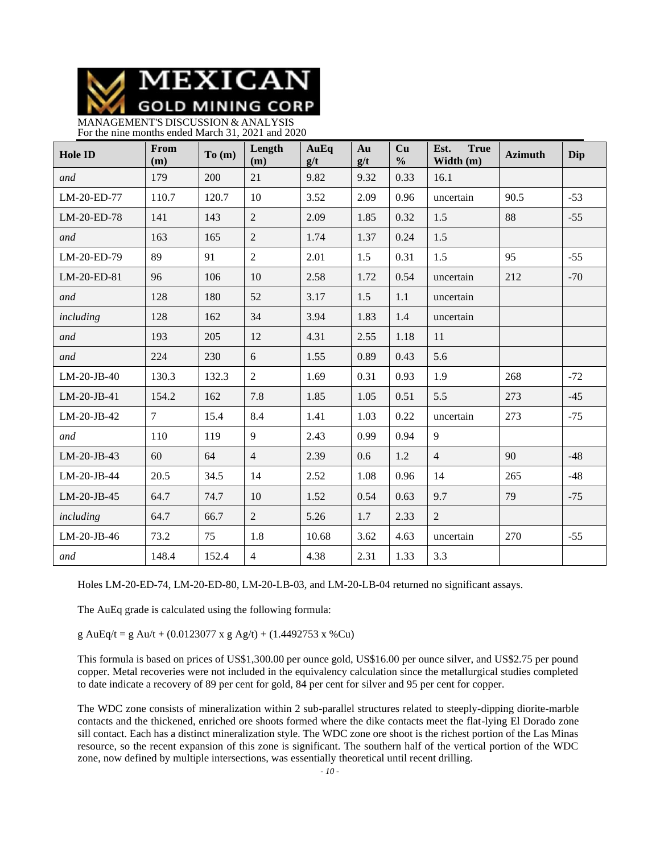MEXICAN **GOLD MINING CORP** 

MANAGEMENT'S DISCUSSION & ANALYSIS For the nine months ended March 31, 2021 and 2020

| <b>Hole ID</b> | From<br>(m)    | To(m) | Length<br>(m)  | AuEq<br>g/t | Au<br>g/t | Cu<br>$\frac{0}{0}$ | <b>True</b><br>Est.<br>Width (m) | <b>Azimuth</b> | Dip   |
|----------------|----------------|-------|----------------|-------------|-----------|---------------------|----------------------------------|----------------|-------|
| and            | 179            | 200   | 21             | 9.82        | 9.32      | 0.33                | 16.1                             |                |       |
| LM-20-ED-77    | 110.7          | 120.7 | 10             | 3.52        | 2.09      | 0.96                | uncertain                        | 90.5           | $-53$ |
| LM-20-ED-78    | 141            | 143   | $\overline{2}$ | 2.09        | 1.85      | 0.32                | 1.5                              | 88             | $-55$ |
| and            | 163            | 165   | $\overline{2}$ | 1.74        | 1.37      | 0.24                | 1.5                              |                |       |
| LM-20-ED-79    | 89             | 91    | $\overline{2}$ | 2.01        | 1.5       | 0.31                | 1.5                              | 95             | $-55$ |
| LM-20-ED-81    | 96             | 106   | 10             | 2.58        | 1.72      | 0.54                | uncertain                        | 212            | $-70$ |
| and            | 128            | 180   | 52             | 3.17        | 1.5       | 1.1                 | uncertain                        |                |       |
| including      | 128            | 162   | 34             | 3.94        | 1.83      | 1.4                 | uncertain                        |                |       |
| and            | 193            | 205   | 12             | 4.31        | 2.55      | 1.18                | 11                               |                |       |
| and            | 224            | 230   | 6              | 1.55        | 0.89      | 0.43                | 5.6                              |                |       |
| $LM-20-JB-40$  | 130.3          | 132.3 | $\overline{2}$ | 1.69        | 0.31      | 0.93                | 1.9                              | 268            | $-72$ |
| LM-20-JB-41    | 154.2          | 162   | 7.8            | 1.85        | 1.05      | 0.51                | 5.5                              | 273            | $-45$ |
| LM-20-JB-42    | $\overline{7}$ | 15.4  | 8.4            | 1.41        | 1.03      | 0.22                | uncertain                        | 273            | $-75$ |
| and            | 110            | 119   | 9              | 2.43        | 0.99      | 0.94                | 9                                |                |       |
| LM-20-JB-43    | 60             | 64    | $\overline{4}$ | 2.39        | 0.6       | 1.2                 | $\overline{4}$                   | 90             | $-48$ |
| LM-20-JB-44    | 20.5           | 34.5  | 14             | 2.52        | 1.08      | 0.96                | 14                               | 265            | $-48$ |
| LM-20-JB-45    | 64.7           | 74.7  | 10             | 1.52        | 0.54      | 0.63                | 9.7                              | 79             | $-75$ |
| including      | 64.7           | 66.7  | $\overline{2}$ | 5.26        | 1.7       | 2.33                | $\overline{2}$                   |                |       |
| LM-20-JB-46    | 73.2           | 75    | 1.8            | 10.68       | 3.62      | 4.63                | uncertain                        | 270            | $-55$ |
| and            | 148.4          | 152.4 | $\overline{4}$ | 4.38        | 2.31      | 1.33                | 3.3                              |                |       |

Holes LM-20-ED-74, LM-20-ED-80, LM-20-LB-03, and LM-20-LB-04 returned no significant assays.

The AuEq grade is calculated using the following formula:

g AuEq/t = g Au/t + (0.0123077 x g Ag/t) + (1.4492753 x %Cu)

This formula is based on prices of US\$1,300.00 per ounce gold, US\$16.00 per ounce silver, and US\$2.75 per pound copper. Metal recoveries were not included in the equivalency calculation since the metallurgical studies completed to date indicate a recovery of 89 per cent for gold, 84 per cent for silver and 95 per cent for copper.

The WDC zone consists of mineralization within 2 sub-parallel structures related to steeply-dipping diorite-marble contacts and the thickened, enriched ore shoots formed where the dike contacts meet the flat-lying El Dorado zone sill contact. Each has a distinct mineralization style. The WDC zone ore shoot is the richest portion of the Las Minas resource, so the recent expansion of this zone is significant. The southern half of the vertical portion of the WDC zone, now defined by multiple intersections, was essentially theoretical until recent drilling.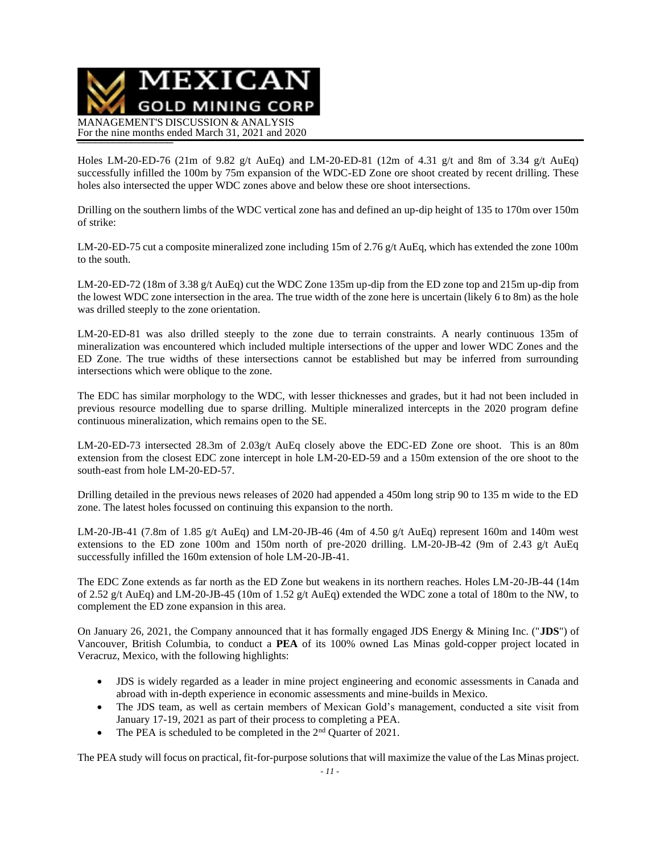

Holes LM-20-ED-76 (21m of 9.82 g/t AuEq) and LM-20-ED-81 (12m of 4.31 g/t and 8m of 3.34 g/t AuEq) successfully infilled the 100m by 75m expansion of the WDC-ED Zone ore shoot created by recent drilling. These holes also intersected the upper WDC zones above and below these ore shoot intersections.

Drilling on the southern limbs of the WDC vertical zone has and defined an up-dip height of 135 to 170m over 150m of strike:

LM-20-ED-75 cut a composite mineralized zone including 15m of 2.76 g/t AuEq, which has extended the zone 100m to the south.

LM-20-ED-72 (18m of 3.38 g/t AuEq) cut the WDC Zone 135m up-dip from the ED zone top and 215m up-dip from the lowest WDC zone intersection in the area. The true width of the zone here is uncertain (likely 6 to 8m) as the hole was drilled steeply to the zone orientation.

LM-20-ED-81 was also drilled steeply to the zone due to terrain constraints. A nearly continuous 135m of mineralization was encountered which included multiple intersections of the upper and lower WDC Zones and the ED Zone. The true widths of these intersections cannot be established but may be inferred from surrounding intersections which were oblique to the zone.

The EDC has similar morphology to the WDC, with lesser thicknesses and grades, but it had not been included in previous resource modelling due to sparse drilling. Multiple mineralized intercepts in the 2020 program define continuous mineralization, which remains open to the SE.

LM-20-ED-73 intersected 28.3m of 2.03g/t AuEq closely above the EDC-ED Zone ore shoot. This is an 80m extension from the closest EDC zone intercept in hole LM-20-ED-59 and a 150m extension of the ore shoot to the south-east from hole LM-20-ED-57.

Drilling detailed in the previous news releases of 2020 had appended a 450m long strip 90 to 135 m wide to the ED zone. The latest holes focussed on continuing this expansion to the north.

LM-20-JB-41 (7.8m of 1.85 g/t AuEq) and LM-20-JB-46 (4m of 4.50 g/t AuEq) represent 160m and 140m west extensions to the ED zone 100m and 150m north of pre-2020 drilling. LM-20-JB-42 (9m of 2.43 g/t AuEq successfully infilled the 160m extension of hole LM-20-JB-41.

The EDC Zone extends as far north as the ED Zone but weakens in its northern reaches. Holes LM-20-JB-44 (14m of 2.52 g/t AuEq) and LM-20-JB-45 (10m of 1.52 g/t AuEq) extended the WDC zone a total of 180m to the NW, to complement the ED zone expansion in this area.

On January 26, 2021, the Company announced that it has formally engaged JDS Energy & Mining Inc. ("**JDS**") of Vancouver, British Columbia, to conduct a **PEA** of its 100% owned Las Minas gold-copper project located in Veracruz, Mexico, with the following highlights:

- JDS is widely regarded as a leader in mine project engineering and economic assessments in Canada and abroad with in-depth experience in economic assessments and mine-builds in Mexico.
- The JDS team, as well as certain members of Mexican Gold's management, conducted a site visit from January 17-19, 2021 as part of their process to completing a PEA.
- The PEA is scheduled to be completed in the  $2<sup>nd</sup>$  Quarter of 2021.

The PEA study will focus on practical, fit-for-purpose solutions that will maximize the value of the Las Minas project.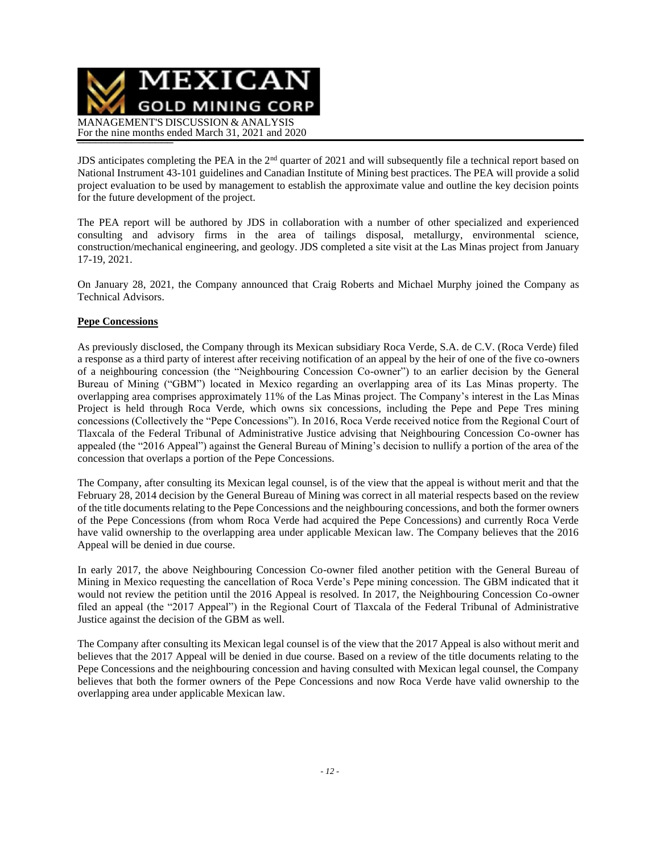

JDS anticipates completing the PEA in the 2<sup>nd</sup> quarter of 2021 and will subsequently file a technical report based on National Instrument 43-101 guidelines and Canadian Institute of Mining best practices. The PEA will provide a solid project evaluation to be used by management to establish the approximate value and outline the key decision points for the future development of the project.

The PEA report will be authored by JDS in collaboration with a number of other specialized and experienced consulting and advisory firms in the area of tailings disposal, metallurgy, environmental science, construction/mechanical engineering, and geology. JDS completed a site visit at the Las Minas project from January 17-19, 2021.

On January 28, 2021, the Company announced that Craig Roberts and Michael Murphy joined the Company as Technical Advisors.

### **Pepe Concessions**

As previously disclosed, the Company through its Mexican subsidiary Roca Verde, S.A. de C.V. (Roca Verde) filed a response as a third party of interest after receiving notification of an appeal by the heir of one of the five co-owners of a neighbouring concession (the "Neighbouring Concession Co-owner") to an earlier decision by the General Bureau of Mining ("GBM") located in Mexico regarding an overlapping area of its Las Minas property. The overlapping area comprises approximately 11% of the Las Minas project. The Company's interest in the Las Minas Project is held through Roca Verde, which owns six concessions, including the Pepe and Pepe Tres mining concessions (Collectively the "Pepe Concessions"). In 2016, Roca Verde received notice from the Regional Court of Tlaxcala of the Federal Tribunal of Administrative Justice advising that Neighbouring Concession Co-owner has appealed (the "2016 Appeal") against the General Bureau of Mining's decision to nullify a portion of the area of the concession that overlaps a portion of the Pepe Concessions.

The Company, after consulting its Mexican legal counsel, is of the view that the appeal is without merit and that the February 28, 2014 decision by the General Bureau of Mining was correct in all material respects based on the review of the title documents relating to the Pepe Concessions and the neighbouring concessions, and both the former owners of the Pepe Concessions (from whom Roca Verde had acquired the Pepe Concessions) and currently Roca Verde have valid ownership to the overlapping area under applicable Mexican law. The Company believes that the 2016 Appeal will be denied in due course.

In early 2017, the above Neighbouring Concession Co-owner filed another petition with the General Bureau of Mining in Mexico requesting the cancellation of Roca Verde's Pepe mining concession. The GBM indicated that it would not review the petition until the 2016 Appeal is resolved. In 2017, the Neighbouring Concession Co-owner filed an appeal (the "2017 Appeal") in the Regional Court of Tlaxcala of the Federal Tribunal of Administrative Justice against the decision of the GBM as well.

The Company after consulting its Mexican legal counsel is of the view that the 2017 Appeal is also without merit and believes that the 2017 Appeal will be denied in due course. Based on a review of the title documents relating to the Pepe Concessions and the neighbouring concession and having consulted with Mexican legal counsel, the Company believes that both the former owners of the Pepe Concessions and now Roca Verde have valid ownership to the overlapping area under applicable Mexican law.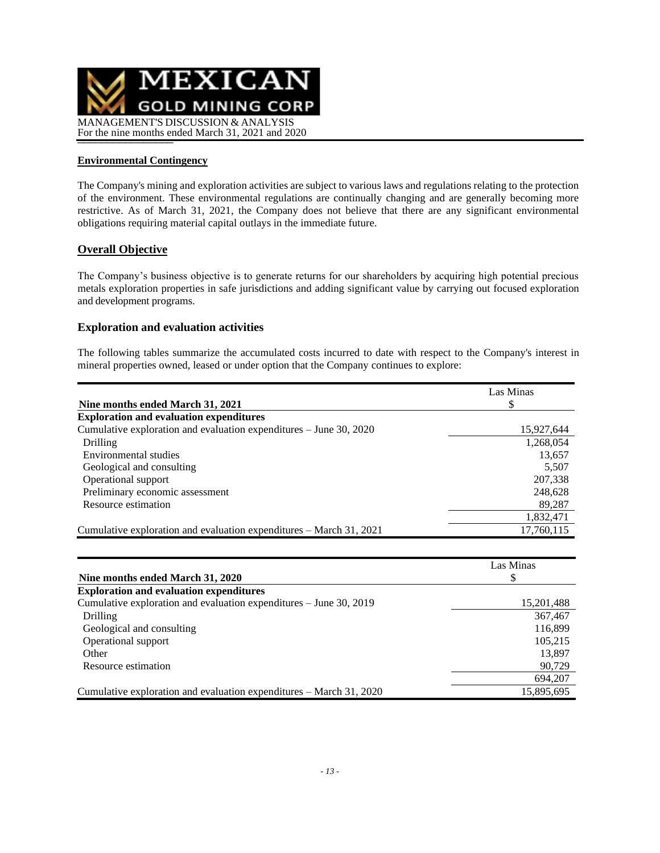

### **Environmental Contingency**

The Company's mining and exploration activities are subject to various laws and regulations relating to the protection of the environment. These environmental regulations are continually changing and are generally becoming more restrictive. As of March 31, 2021, the Company does not believe that there are any significant environmental obligations requiring material capital outlays in the immediate future.

### **Overall Objective**

The Company's business objective is to generate returns for our shareholders by acquiring high potential precious metals exploration properties in safe jurisdictions and adding significant value by carrying out focused exploration and development programs.

#### **Exploration and evaluation activities**

The following tables summarize the accumulated costs incurred to date with respect to the Company's interest in mineral properties owned, leased or under option that the Company continues to explore:

|                                                                     | Las Minas  |
|---------------------------------------------------------------------|------------|
| Nine months ended March 31, 2021                                    | S          |
| <b>Exploration and evaluation expenditures</b>                      |            |
| Cumulative exploration and evaluation expenditures – June 30, 2020  | 15,927,644 |
| Drilling                                                            | 1,268,054  |
| Environmental studies                                               | 13,657     |
| Geological and consulting                                           | 5,507      |
| Operational support                                                 | 207,338    |
| Preliminary economic assessment                                     | 248,628    |
| Resource estimation                                                 | 89,287     |
|                                                                     | 1,832,471  |
| Cumulative exploration and evaluation expenditures – March 31, 2021 | 17,760,115 |

|                                                                     | Las Minas  |
|---------------------------------------------------------------------|------------|
| Nine months ended March 31, 2020                                    | S          |
| <b>Exploration and evaluation expenditures</b>                      |            |
| Cumulative exploration and evaluation expenditures – June 30, 2019  | 15,201,488 |
| Drilling                                                            | 367,467    |
| Geological and consulting                                           | 116,899    |
| Operational support                                                 | 105,215    |
| Other                                                               | 13,897     |
| Resource estimation                                                 | 90,729     |
|                                                                     | 694,207    |
| Cumulative exploration and evaluation expenditures – March 31, 2020 | 15,895,695 |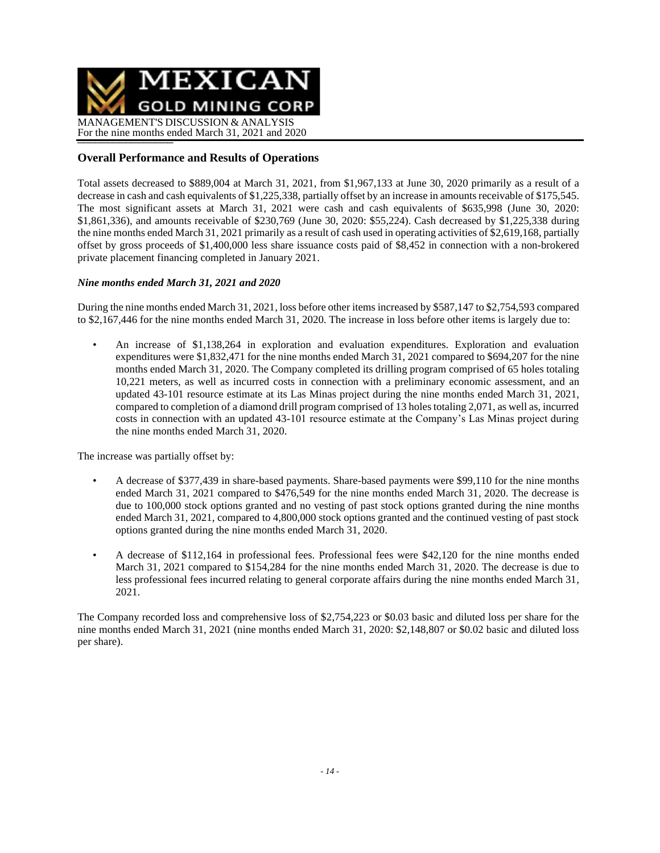

## **Overall Performance and Results of Operations**

Total assets decreased to \$889,004 at March 31, 2021, from \$1,967,133 at June 30, 2020 primarily as a result of a decrease in cash and cash equivalents of \$1,225,338, partially offset by an increase in amounts receivable of \$175,545. The most significant assets at March 31, 2021 were cash and cash equivalents of \$635,998 (June 30, 2020: \$1,861,336), and amounts receivable of \$230,769 (June 30, 2020: \$55,224). Cash decreased by \$1,225,338 during the nine months ended March 31, 2021 primarily as a result of cash used in operating activities of \$2,619,168, partially offset by gross proceeds of \$1,400,000 less share issuance costs paid of \$8,452 in connection with a non-brokered private placement financing completed in January 2021.

### *Nine months ended March 31, 2021 and 2020*

During the nine months ended March 31, 2021, loss before other items increased by \$587,147 to \$2,754,593 compared to \$2,167,446 for the nine months ended March 31, 2020. The increase in loss before other items is largely due to:

• An increase of \$1,138,264 in exploration and evaluation expenditures. Exploration and evaluation expenditures were \$1,832,471 for the nine months ended March 31, 2021 compared to \$694,207 for the nine months ended March 31, 2020. The Company completed its drilling program comprised of 65 holes totaling 10,221 meters, as well as incurred costs in connection with a preliminary economic assessment, and an updated 43-101 resource estimate at its Las Minas project during the nine months ended March 31, 2021, compared to completion of a diamond drill program comprised of 13 holes totaling 2,071, as well as, incurred costs in connection with an updated 43-101 resource estimate at the Company's Las Minas project during the nine months ended March 31, 2020.

The increase was partially offset by:

- A decrease of \$377,439 in share-based payments. Share-based payments were \$99,110 for the nine months ended March 31, 2021 compared to \$476,549 for the nine months ended March 31, 2020. The decrease is due to 100,000 stock options granted and no vesting of past stock options granted during the nine months ended March 31, 2021, compared to 4,800,000 stock options granted and the continued vesting of past stock options granted during the nine months ended March 31, 2020.
- A decrease of \$112,164 in professional fees. Professional fees were \$42,120 for the nine months ended March 31, 2021 compared to \$154,284 for the nine months ended March 31, 2020. The decrease is due to less professional fees incurred relating to general corporate affairs during the nine months ended March 31, 2021.

The Company recorded loss and comprehensive loss of \$2,754,223 or \$0.03 basic and diluted loss per share for the nine months ended March 31, 2021 (nine months ended March 31, 2020: \$2,148,807 or \$0.02 basic and diluted loss per share).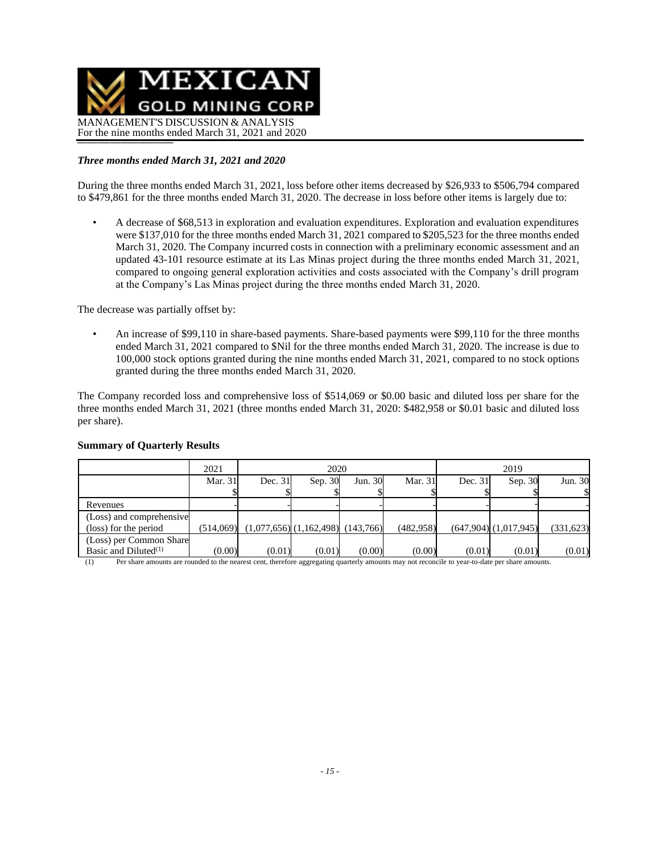

### *Three months ended March 31, 2021 and 2020*

During the three months ended March 31, 2021, loss before other items decreased by \$26,933 to \$506,794 compared to \$479,861 for the three months ended March 31, 2020. The decrease in loss before other items is largely due to:

• A decrease of \$68,513 in exploration and evaluation expenditures. Exploration and evaluation expenditures were \$137,010 for the three months ended March 31, 2021 compared to \$205,523 for the three months ended March 31, 2020. The Company incurred costs in connection with a preliminary economic assessment and an updated 43-101 resource estimate at its Las Minas project during the three months ended March 31, 2021, compared to ongoing general exploration activities and costs associated with the Company's drill program at the Company's Las Minas project during the three months ended March 31, 2020.

The decrease was partially offset by:

• An increase of \$99,110 in share-based payments. Share-based payments were \$99,110 for the three months ended March 31, 2021 compared to \$Nil for the three months ended March 31, 2020. The increase is due to 100,000 stock options granted during the nine months ended March 31, 2021, compared to no stock options granted during the three months ended March 31, 2020.

The Company recorded loss and comprehensive loss of \$514,069 or \$0.00 basic and diluted loss per share for the three months ended March 31, 2021 (three months ended March 31, 2020: \$482,958 or \$0.01 basic and diluted loss per share).

|                          | 2021      |         | 2020                                    |         | 2019       |           |                           |            |
|--------------------------|-----------|---------|-----------------------------------------|---------|------------|-----------|---------------------------|------------|
|                          | Mar. 31   | Dec. 31 | Sep. 30                                 | Jun. 30 | Mar. 31    | Dec. $31$ | Sep. 30                   | Jun. 30    |
|                          |           |         |                                         |         |            |           |                           |            |
| Revenues                 |           |         |                                         |         |            |           |                           |            |
| (Loss) and comprehensive |           |         |                                         |         |            |           |                           |            |
| (loss) for the period    | (514.069) |         | $(1,077,656)$ $(1,162,498)$ $(143,766)$ |         | (482, 958) |           | $(647,904)$ $(1,017,945)$ | (331, 623) |
| (Loss) per Common Share  |           |         |                                         |         |            |           |                           |            |
| Basic and Diluted $(1)$  | (0.00)    | (0.01)  | (0.01)                                  | (0.00)  | (0.00)     | (0.01)    | (0.01)                    | (0.01)     |

#### **Summary of Quarterly Results**

(1) Per share amounts are rounded to the nearest cent, therefore aggregating quarterly amounts may not reconcile to year-to-date per share amounts.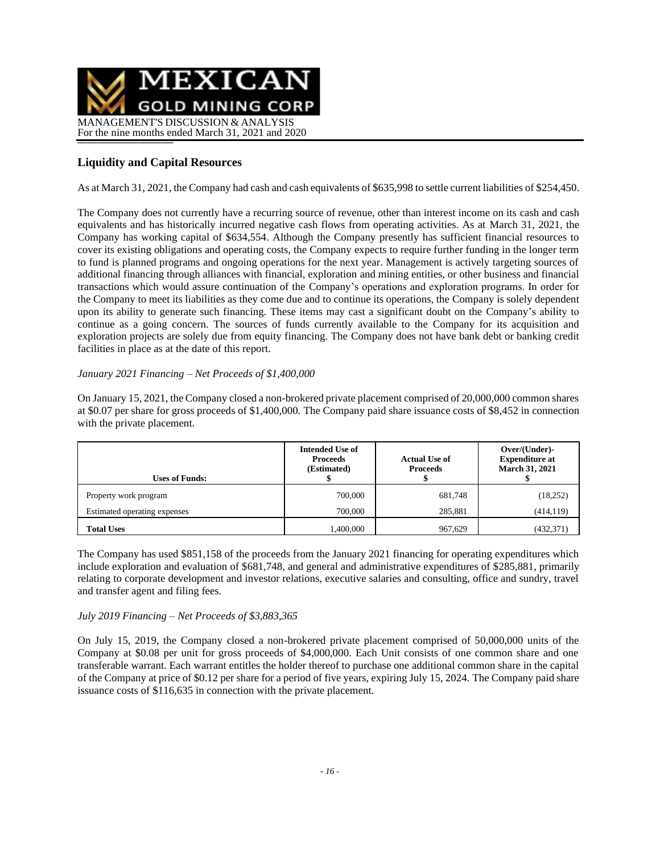

# **Liquidity and Capital Resources**

As at March 31, 2021, the Company had cash and cash equivalents of \$635,998 to settle current liabilities of \$254,450.

The Company does not currently have a recurring source of revenue, other than interest income on its cash and cash equivalents and has historically incurred negative cash flows from operating activities. As at March 31, 2021, the Company has working capital of \$634,554. Although the Company presently has sufficient financial resources to cover its existing obligations and operating costs, the Company expects to require further funding in the longer term to fund is planned programs and ongoing operations for the next year. Management is actively targeting sources of additional financing through alliances with financial, exploration and mining entities, or other business and financial transactions which would assure continuation of the Company's operations and exploration programs. In order for the Company to meet its liabilities as they come due and to continue its operations, the Company is solely dependent upon its ability to generate such financing. These items may cast a significant doubt on the Company's ability to continue as a going concern. The sources of funds currently available to the Company for its acquisition and exploration projects are solely due from equity financing. The Company does not have bank debt or banking credit facilities in place as at the date of this report.

### *January 2021 Financing – Net Proceeds of \$1,400,000*

On January 15, 2021, the Company closed a non-brokered private placement comprised of 20,000,000 common shares at \$0.07 per share for gross proceeds of \$1,400,000. The Company paid share issuance costs of \$8,452 in connection with the private placement.

| <b>Uses of Funds:</b>        | <b>Intended Use of</b><br><b>Proceeds</b><br>(Estimated) | <b>Actual Use of</b><br><b>Proceeds</b> | Over/(Under)-<br><b>Expenditure at</b><br><b>March 31, 2021</b> |
|------------------------------|----------------------------------------------------------|-----------------------------------------|-----------------------------------------------------------------|
| Property work program        | 700,000                                                  | 681,748                                 | (18, 252)                                                       |
| Estimated operating expenses | 700,000                                                  | 285,881                                 | (414, 119)                                                      |
| <b>Total Uses</b>            | 1.400.000                                                | 967.629                                 | (432, 371)                                                      |

The Company has used \$851,158 of the proceeds from the January 2021 financing for operating expenditures which include exploration and evaluation of \$681,748, and general and administrative expenditures of \$285,881, primarily relating to corporate development and investor relations, executive salaries and consulting, office and sundry, travel and transfer agent and filing fees.

### *July 2019 Financing – Net Proceeds of \$3,883,365*

On July 15, 2019, the Company closed a non-brokered private placement comprised of 50,000,000 units of the Company at \$0.08 per unit for gross proceeds of \$4,000,000. Each Unit consists of one common share and one transferable warrant. Each warrant entitles the holder thereof to purchase one additional common share in the capital of the Company at price of \$0.12 per share for a period of five years, expiring July 15, 2024. The Company paid share issuance costs of \$116,635 in connection with the private placement.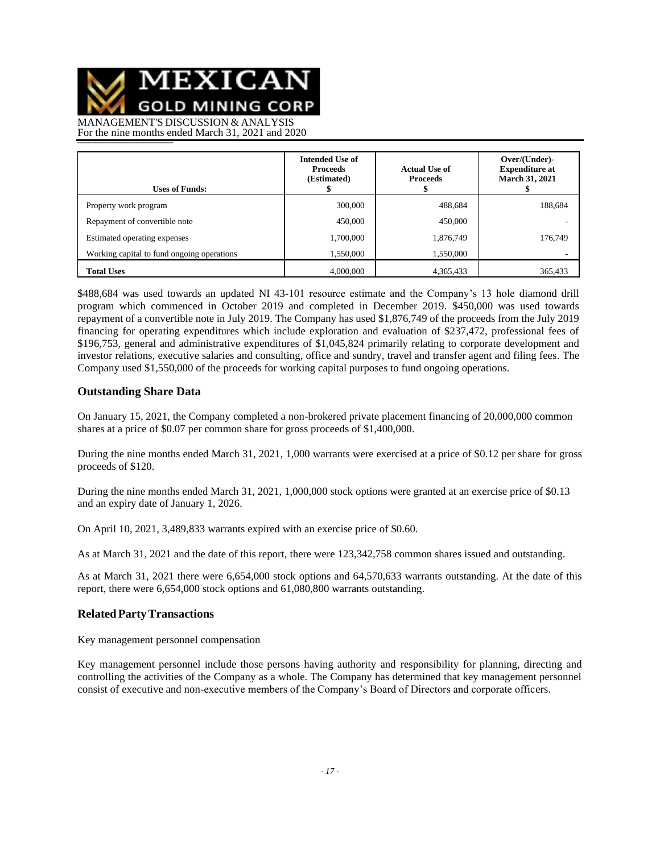MEXICAN

**GOLD MINING CORP** 

MANAGEMENT'S DISCUSSION & ANALYSIS For the nine months ended March 31, 2021 and 2020

| <b>Uses of Funds:</b>                      | <b>Intended Use of</b><br><b>Proceeds</b><br>(Estimated) | <b>Actual Use of</b><br><b>Proceeds</b> | Over/(Under)-<br><b>Expenditure at</b><br><b>March 31, 2021</b> |
|--------------------------------------------|----------------------------------------------------------|-----------------------------------------|-----------------------------------------------------------------|
| Property work program                      | 300,000                                                  | 488,684                                 | 188,684                                                         |
| Repayment of convertible note              | 450,000                                                  | 450,000                                 |                                                                 |
| Estimated operating expenses               | 1,700,000                                                | 1,876,749                               | 176,749                                                         |
| Working capital to fund ongoing operations | 1,550,000                                                | 1,550,000                               |                                                                 |
| <b>Total Uses</b>                          | 4,000,000                                                | 4,365,433                               | 365,433                                                         |

\$488,684 was used towards an updated NI 43-101 resource estimate and the Company's 13 hole diamond drill program which commenced in October 2019 and completed in December 2019. \$450,000 was used towards repayment of a convertible note in July 2019. The Company has used \$1,876,749 of the proceeds from the July 2019 financing for operating expenditures which include exploration and evaluation of \$237,472, professional fees of \$196,753, general and administrative expenditures of \$1,045,824 primarily relating to corporate development and investor relations, executive salaries and consulting, office and sundry, travel and transfer agent and filing fees. The Company used \$1,550,000 of the proceeds for working capital purposes to fund ongoing operations.

### **Outstanding Share Data**

On January 15, 2021, the Company completed a non-brokered private placement financing of 20,000,000 common shares at a price of \$0.07 per common share for gross proceeds of \$1,400,000.

During the nine months ended March 31, 2021, 1,000 warrants were exercised at a price of \$0.12 per share for gross proceeds of \$120.

During the nine months ended March 31, 2021, 1,000,000 stock options were granted at an exercise price of \$0.13 and an expiry date of January 1, 2026.

On April 10, 2021, 3,489,833 warrants expired with an exercise price of \$0.60.

As at March 31, 2021 and the date of this report, there were 123,342,758 common shares issued and outstanding.

As at March 31, 2021 there were 6,654,000 stock options and 64,570,633 warrants outstanding. At the date of this report, there were 6,654,000 stock options and 61,080,800 warrants outstanding.

### **RelatedPartyTransactions**

Key management personnel compensation

Key management personnel include those persons having authority and responsibility for planning, directing and controlling the activities of the Company as a whole. The Company has determined that key management personnel consist of executive and non-executive members of the Company's Board of Directors and corporate officers.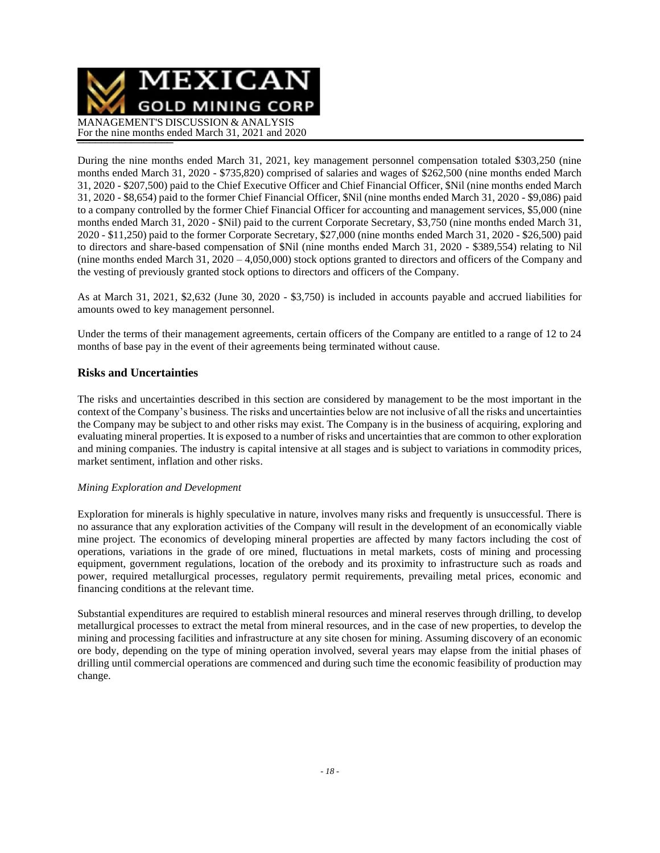MEXICAN **GOLD MINING CORP** MANAGEMENT'S DISCUSSION & ANALYSIS For the nine months ended March 31, 2021 and 2020

During the nine months ended March 31, 2021, key management personnel compensation totaled \$303,250 (nine months ended March 31, 2020 - \$735,820) comprised of salaries and wages of \$262,500 (nine months ended March 31, 2020 - \$207,500) paid to the Chief Executive Officer and Chief Financial Officer, \$Nil (nine months ended March 31, 2020 - \$8,654) paid to the former Chief Financial Officer, \$Nil (nine months ended March 31, 2020 - \$9,086) paid to a company controlled by the former Chief Financial Officer for accounting and management services, \$5,000 (nine months ended March 31, 2020 - \$Nil) paid to the current Corporate Secretary, \$3,750 (nine months ended March 31, 2020 - \$11,250) paid to the former Corporate Secretary, \$27,000 (nine months ended March 31, 2020 - \$26,500) paid to directors and share-based compensation of \$Nil (nine months ended March 31, 2020 - \$389,554) relating to Nil (nine months ended March 31,  $2020 - 4,050,000$ ) stock options granted to directors and officers of the Company and the vesting of previously granted stock options to directors and officers of the Company.

As at March 31, 2021, \$2,632 (June 30, 2020 - \$3,750) is included in accounts payable and accrued liabilities for amounts owed to key management personnel.

Under the terms of their management agreements, certain officers of the Company are entitled to a range of 12 to 24 months of base pay in the event of their agreements being terminated without cause.

### **Risks and Uncertainties**

The risks and uncertainties described in this section are considered by management to be the most important in the context of the Company's business. The risks and uncertainties below are not inclusive of all the risks and uncertainties the Company may be subject to and other risks may exist. The Company is in the business of acquiring, exploring and evaluating mineral properties. It is exposed to a number of risks and uncertainties that are common to other exploration and mining companies. The industry is capital intensive at all stages and is subject to variations in commodity prices, market sentiment, inflation and other risks.

#### *Mining Exploration and Development*

Exploration for minerals is highly speculative in nature, involves many risks and frequently is unsuccessful. There is no assurance that any exploration activities of the Company will result in the development of an economically viable mine project. The economics of developing mineral properties are affected by many factors including the cost of operations, variations in the grade of ore mined, fluctuations in metal markets, costs of mining and processing equipment, government regulations, location of the orebody and its proximity to infrastructure such as roads and power, required metallurgical processes, regulatory permit requirements, prevailing metal prices, economic and financing conditions at the relevant time.

Substantial expenditures are required to establish mineral resources and mineral reserves through drilling, to develop metallurgical processes to extract the metal from mineral resources, and in the case of new properties, to develop the mining and processing facilities and infrastructure at any site chosen for mining. Assuming discovery of an economic ore body, depending on the type of mining operation involved, several years may elapse from the initial phases of drilling until commercial operations are commenced and during such time the economic feasibility of production may change.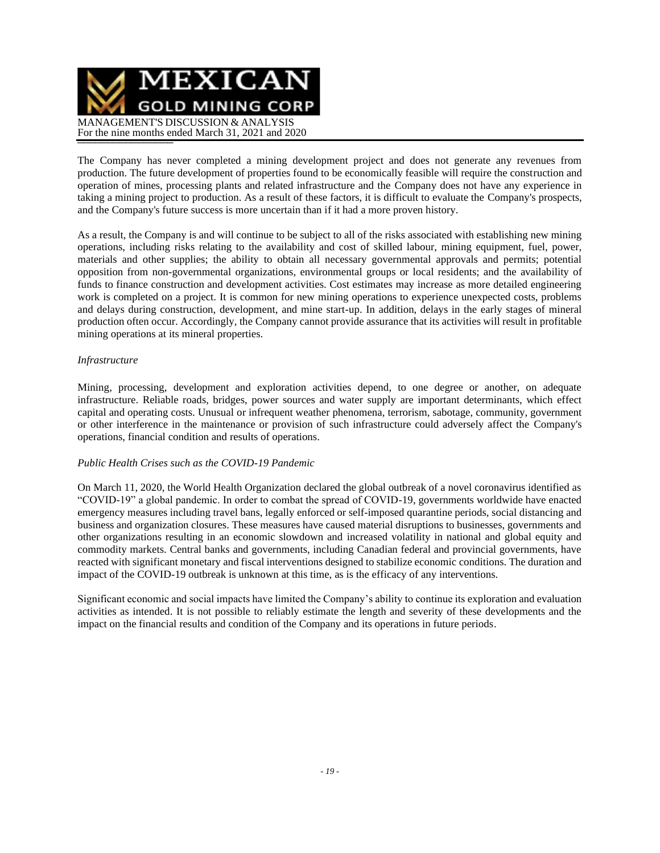

The Company has never completed a mining development project and does not generate any revenues from production. The future development of properties found to be economically feasible will require the construction and operation of mines, processing plants and related infrastructure and the Company does not have any experience in taking a mining project to production. As a result of these factors, it is difficult to evaluate the Company's prospects, and the Company's future success is more uncertain than if it had a more proven history.

As a result, the Company is and will continue to be subject to all of the risks associated with establishing new mining operations, including risks relating to the availability and cost of skilled labour, mining equipment, fuel, power, materials and other supplies; the ability to obtain all necessary governmental approvals and permits; potential opposition from non-governmental organizations, environmental groups or local residents; and the availability of funds to finance construction and development activities. Cost estimates may increase as more detailed engineering work is completed on a project. It is common for new mining operations to experience unexpected costs, problems and delays during construction, development, and mine start-up. In addition, delays in the early stages of mineral production often occur. Accordingly, the Company cannot provide assurance that its activities will result in profitable mining operations at its mineral properties.

#### *Infrastructure*

Mining, processing, development and exploration activities depend, to one degree or another, on adequate infrastructure. Reliable roads, bridges, power sources and water supply are important determinants, which effect capital and operating costs. Unusual or infrequent weather phenomena, terrorism, sabotage, community, government or other interference in the maintenance or provision of such infrastructure could adversely affect the Company's operations, financial condition and results of operations.

### *Public Health Crises such as the COVID-19 Pandemic*

On March 11, 2020, the World Health Organization declared the global outbreak of a novel coronavirus identified as "COVID-19" a global pandemic. In order to combat the spread of COVID-19, governments worldwide have enacted emergency measures including travel bans, legally enforced or self-imposed quarantine periods, social distancing and business and organization closures. These measures have caused material disruptions to businesses, governments and other organizations resulting in an economic slowdown and increased volatility in national and global equity and commodity markets. Central banks and governments, including Canadian federal and provincial governments, have reacted with significant monetary and fiscal interventions designed to stabilize economic conditions. The duration and impact of the COVID-19 outbreak is unknown at this time, as is the efficacy of any interventions.

Significant economic and social impacts have limited the Company's ability to continue its exploration and evaluation activities as intended. It is not possible to reliably estimate the length and severity of these developments and the impact on the financial results and condition of the Company and its operations in future periods.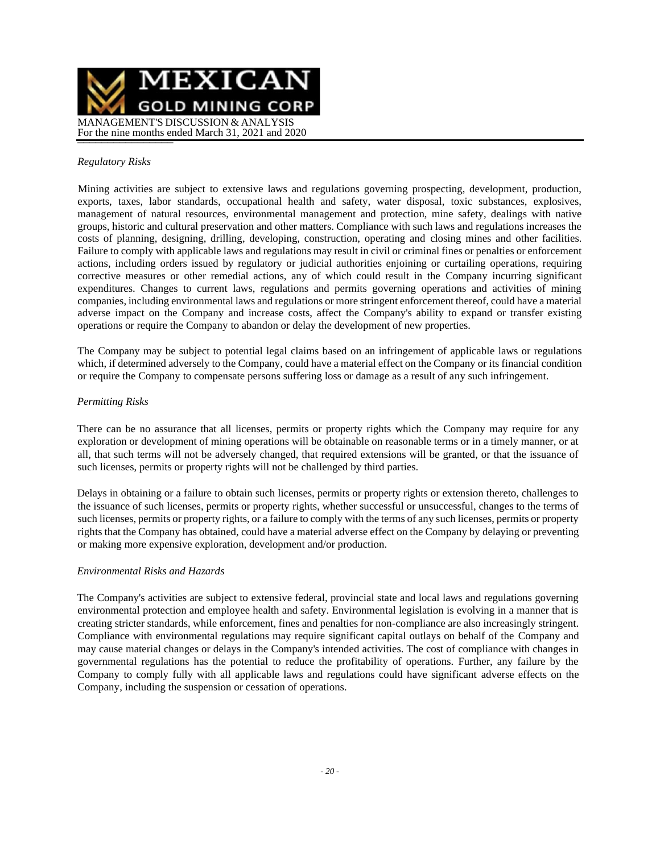

#### *Regulatory Risks*

Mining activities are subject to extensive laws and regulations governing prospecting, development, production, exports, taxes, labor standards, occupational health and safety, water disposal, toxic substances, explosives, management of natural resources, environmental management and protection, mine safety, dealings with native groups, historic and cultural preservation and other matters. Compliance with such laws and regulations increases the costs of planning, designing, drilling, developing, construction, operating and closing mines and other facilities. Failure to comply with applicable laws and regulations may result in civil or criminal fines or penalties or enforcement actions, including orders issued by regulatory or judicial authorities enjoining or curtailing operations, requiring corrective measures or other remedial actions, any of which could result in the Company incurring significant expenditures. Changes to current laws, regulations and permits governing operations and activities of mining companies, including environmental laws and regulations or more stringent enforcement thereof, could have a material adverse impact on the Company and increase costs, affect the Company's ability to expand or transfer existing operations or require the Company to abandon or delay the development of new properties.

The Company may be subject to potential legal claims based on an infringement of applicable laws or regulations which, if determined adversely to the Company, could have a material effect on the Company or its financial condition or require the Company to compensate persons suffering loss or damage as a result of any such infringement.

### *Permitting Risks*

There can be no assurance that all licenses, permits or property rights which the Company may require for any exploration or development of mining operations will be obtainable on reasonable terms or in a timely manner, or at all, that such terms will not be adversely changed, that required extensions will be granted, or that the issuance of such licenses, permits or property rights will not be challenged by third parties.

Delays in obtaining or a failure to obtain such licenses, permits or property rights or extension thereto, challenges to the issuance of such licenses, permits or property rights, whether successful or unsuccessful, changes to the terms of such licenses, permits or property rights, or a failure to comply with the terms of any such licenses, permits or property rights that the Company has obtained, could have a material adverse effect on the Company by delaying or preventing or making more expensive exploration, development and/or production.

#### *Environmental Risks and Hazards*

The Company's activities are subject to extensive federal, provincial state and local laws and regulations governing environmental protection and employee health and safety. Environmental legislation is evolving in a manner that is creating stricter standards, while enforcement, fines and penalties for non-compliance are also increasingly stringent. Compliance with environmental regulations may require significant capital outlays on behalf of the Company and may cause material changes or delays in the Company's intended activities. The cost of compliance with changes in governmental regulations has the potential to reduce the profitability of operations. Further, any failure by the Company to comply fully with all applicable laws and regulations could have significant adverse effects on the Company, including the suspension or cessation of operations.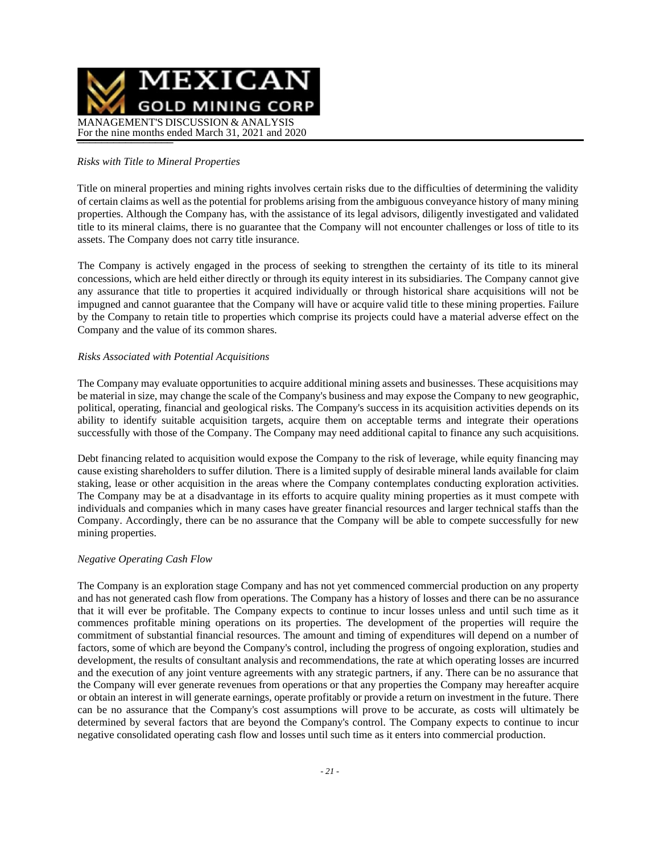

#### *Risks with Title to Mineral Properties*

Title on mineral properties and mining rights involves certain risks due to the difficulties of determining the validity of certain claims as well as the potential for problems arising from the ambiguous conveyance history of many mining properties. Although the Company has, with the assistance of its legal advisors, diligently investigated and validated title to its mineral claims, there is no guarantee that the Company will not encounter challenges or loss of title to its assets. The Company does not carry title insurance.

The Company is actively engaged in the process of seeking to strengthen the certainty of its title to its mineral concessions, which are held either directly or through its equity interest in its subsidiaries. The Company cannot give any assurance that title to properties it acquired individually or through historical share acquisitions will not be impugned and cannot guarantee that the Company will have or acquire valid title to these mining properties. Failure by the Company to retain title to properties which comprise its projects could have a material adverse effect on the Company and the value of its common shares.

#### *Risks Associated with Potential Acquisitions*

The Company may evaluate opportunities to acquire additional mining assets and businesses. These acquisitions may be material in size, may change the scale of the Company's business and may expose the Company to new geographic, political, operating, financial and geological risks. The Company's success in its acquisition activities depends on its ability to identify suitable acquisition targets, acquire them on acceptable terms and integrate their operations successfully with those of the Company. The Company may need additional capital to finance any such acquisitions.

Debt financing related to acquisition would expose the Company to the risk of leverage, while equity financing may cause existing shareholders to suffer dilution. There is a limited supply of desirable mineral lands available for claim staking, lease or other acquisition in the areas where the Company contemplates conducting exploration activities. The Company may be at a disadvantage in its efforts to acquire quality mining properties as it must compete with individuals and companies which in many cases have greater financial resources and larger technical staffs than the Company. Accordingly, there can be no assurance that the Company will be able to compete successfully for new mining properties.

#### *Negative Operating Cash Flow*

The Company is an exploration stage Company and has not yet commenced commercial production on any property and has not generated cash flow from operations. The Company has a history of losses and there can be no assurance that it will ever be profitable. The Company expects to continue to incur losses unless and until such time as it commences profitable mining operations on its properties. The development of the properties will require the commitment of substantial financial resources. The amount and timing of expenditures will depend on a number of factors, some of which are beyond the Company's control, including the progress of ongoing exploration, studies and development, the results of consultant analysis and recommendations, the rate at which operating losses are incurred and the execution of any joint venture agreements with any strategic partners, if any. There can be no assurance that the Company will ever generate revenues from operations or that any properties the Company may hereafter acquire or obtain an interest in will generate earnings, operate profitably or provide a return on investment in the future. There can be no assurance that the Company's cost assumptions will prove to be accurate, as costs will ultimately be determined by several factors that are beyond the Company's control. The Company expects to continue to incur negative consolidated operating cash flow and losses until such time as it enters into commercial production.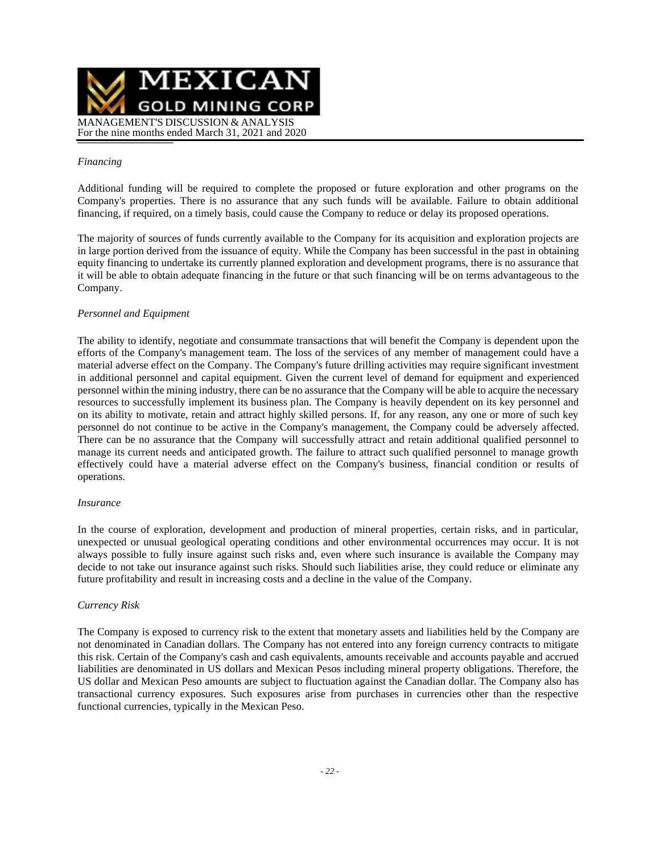

#### *Financing*

Additional funding will be required to complete the proposed or future exploration and other programs on the Company's properties. There is no assurance that any such funds will be available. Failure to obtain additional financing, if required, on a timely basis, could cause the Company to reduce or delay its proposed operations.

The majority of sources of funds currently available to the Company for its acquisition and exploration projects are in large portion derived from the issuance of equity. While the Company has been successful in the past in obtaining equity financing to undertake its currently planned exploration and development programs, there is no assurance that it will be able to obtain adequate financing in the future or that such financing will be on terms advantageous to the Company.

### *Personnel and Equipment*

The ability to identify, negotiate and consummate transactions that will benefit the Company is dependent upon the efforts of the Company's management team. The loss of the services of any member of management could have a material adverse effect on the Company. The Company's future drilling activities may require significant investment in additional personnel and capital equipment. Given the current level of demand for equipment and experienced personnel within the mining industry, there can be no assurance that the Company will be able to acquire the necessary resources to successfully implement its business plan. The Company is heavily dependent on its key personnel and on its ability to motivate, retain and attract highly skilled persons. If, for any reason, any one or more of such key personnel do not continue to be active in the Company's management, the Company could be adversely affected. There can be no assurance that the Company will successfully attract and retain additional qualified personnel to manage its current needs and anticipated growth. The failure to attract such qualified personnel to manage growth effectively could have a material adverse effect on the Company's business, financial condition or results of operations.

#### *Insurance*

In the course of exploration, development and production of mineral properties, certain risks, and in particular, unexpected or unusual geological operating conditions and other environmental occurrences may occur. It is not always possible to fully insure against such risks and, even where such insurance is available the Company may decide to not take out insurance against such risks. Should such liabilities arise, they could reduce or eliminate any future profitability and result in increasing costs and a decline in the value of the Company.

#### *Currency Risk*

The Company is exposed to currency risk to the extent that monetary assets and liabilities held by the Company are not denominated in Canadian dollars. The Company has not entered into any foreign currency contracts to mitigate this risk. Certain of the Company's cash and cash equivalents, amounts receivable and accounts payable and accrued liabilities are denominated in US dollars and Mexican Pesos including mineral property obligations. Therefore, the US dollar and Mexican Peso amounts are subject to fluctuation against the Canadian dollar. The Company also has transactional currency exposures. Such exposures arise from purchases in currencies other than the respective functional currencies, typically in the Mexican Peso.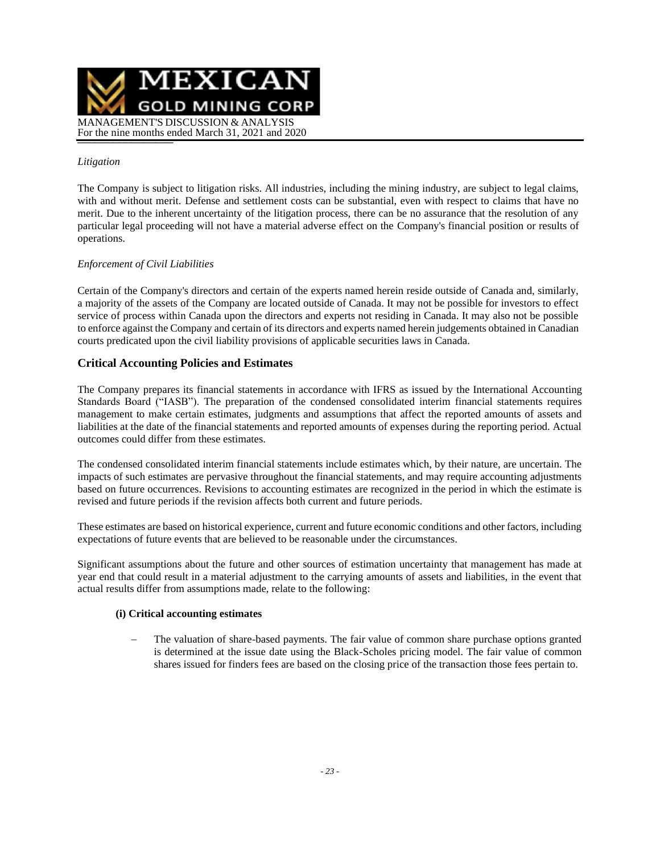

### *Litigation*

The Company is subject to litigation risks. All industries, including the mining industry, are subject to legal claims, with and without merit. Defense and settlement costs can be substantial, even with respect to claims that have no merit. Due to the inherent uncertainty of the litigation process, there can be no assurance that the resolution of any particular legal proceeding will not have a material adverse effect on the Company's financial position or results of operations.

### *Enforcement of Civil Liabilities*

Certain of the Company's directors and certain of the experts named herein reside outside of Canada and, similarly, a majority of the assets of the Company are located outside of Canada. It may not be possible for investors to effect service of process within Canada upon the directors and experts not residing in Canada. It may also not be possible to enforce against the Company and certain of its directors and experts named herein judgements obtained in Canadian courts predicated upon the civil liability provisions of applicable securities laws in Canada.

### **Critical Accounting Policies and Estimates**

The Company prepares its financial statements in accordance with IFRS as issued by the International Accounting Standards Board ("IASB"). The preparation of the condensed consolidated interim financial statements requires management to make certain estimates, judgments and assumptions that affect the reported amounts of assets and liabilities at the date of the financial statements and reported amounts of expenses during the reporting period. Actual outcomes could differ from these estimates.

The condensed consolidated interim financial statements include estimates which, by their nature, are uncertain. The impacts of such estimates are pervasive throughout the financial statements, and may require accounting adjustments based on future occurrences. Revisions to accounting estimates are recognized in the period in which the estimate is revised and future periods if the revision affects both current and future periods.

These estimates are based on historical experience, current and future economic conditions and other factors, including expectations of future events that are believed to be reasonable under the circumstances.

Significant assumptions about the future and other sources of estimation uncertainty that management has made at year end that could result in a material adjustment to the carrying amounts of assets and liabilities, in the event that actual results differ from assumptions made, relate to the following:

### **(i) Critical accounting estimates**

The valuation of share-based payments. The fair value of common share purchase options granted is determined at the issue date using the Black-Scholes pricing model. The fair value of common shares issued for finders fees are based on the closing price of the transaction those fees pertain to.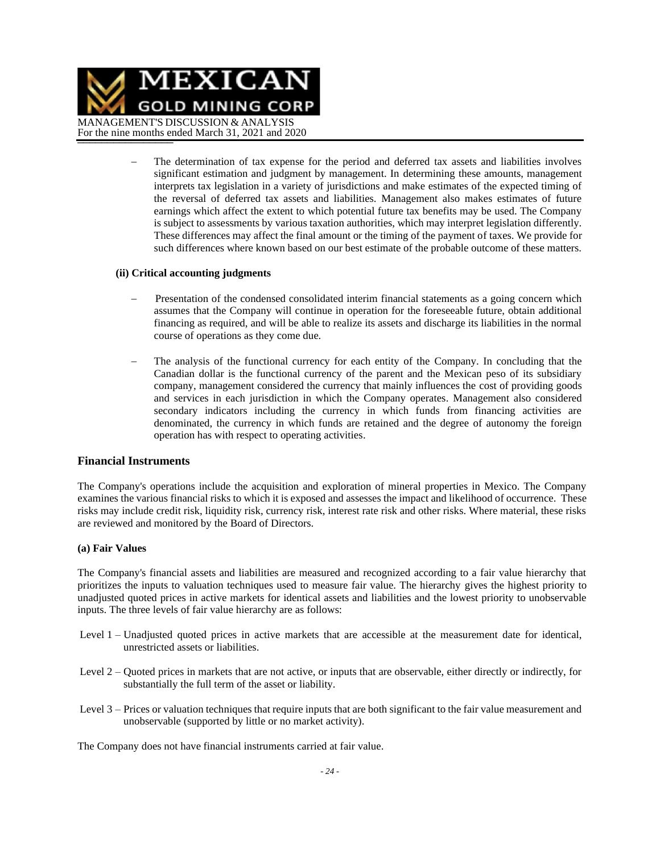

The determination of tax expense for the period and deferred tax assets and liabilities involves significant estimation and judgment by management. In determining these amounts, management interprets tax legislation in a variety of jurisdictions and make estimates of the expected timing of the reversal of deferred tax assets and liabilities. Management also makes estimates of future earnings which affect the extent to which potential future tax benefits may be used. The Company is subject to assessments by various taxation authorities, which may interpret legislation differently. These differences may affect the final amount or the timing of the payment of taxes. We provide for such differences where known based on our best estimate of the probable outcome of these matters.

#### **(ii) Critical accounting judgments**

- − Presentation of the condensed consolidated interim financial statements as a going concern which assumes that the Company will continue in operation for the foreseeable future, obtain additional financing as required, and will be able to realize its assets and discharge its liabilities in the normal course of operations as they come due.
- The analysis of the functional currency for each entity of the Company. In concluding that the Canadian dollar is the functional currency of the parent and the Mexican peso of its subsidiary company, management considered the currency that mainly influences the cost of providing goods and services in each jurisdiction in which the Company operates. Management also considered secondary indicators including the currency in which funds from financing activities are denominated, the currency in which funds are retained and the degree of autonomy the foreign operation has with respect to operating activities.

#### **Financial Instruments**

The Company's operations include the acquisition and exploration of mineral properties in Mexico. The Company examines the various financial risks to which it is exposed and assesses the impact and likelihood of occurrence. These risks may include credit risk, liquidity risk, currency risk, interest rate risk and other risks. Where material, these risks are reviewed and monitored by the Board of Directors.

#### **(a) Fair Values**

The Company's financial assets and liabilities are measured and recognized according to a fair value hierarchy that prioritizes the inputs to valuation techniques used to measure fair value. The hierarchy gives the highest priority to unadjusted quoted prices in active markets for identical assets and liabilities and the lowest priority to unobservable inputs. The three levels of fair value hierarchy are as follows:

- Level 1 Unadjusted quoted prices in active markets that are accessible at the measurement date for identical, unrestricted assets or liabilities.
- Level 2 Quoted prices in markets that are not active, or inputs that are observable, either directly or indirectly, for substantially the full term of the asset or liability.
- Level 3 Prices or valuation techniques that require inputs that are both significant to the fair value measurement and unobservable (supported by little or no market activity).

The Company does not have financial instruments carried at fair value.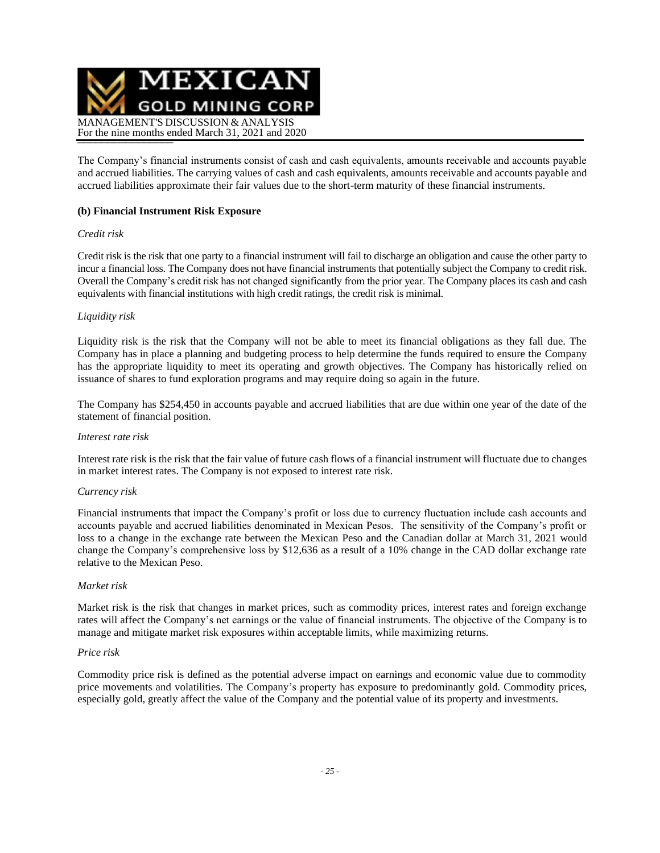

The Company's financial instruments consist of cash and cash equivalents, amounts receivable and accounts payable and accrued liabilities. The carrying values of cash and cash equivalents, amounts receivable and accounts payable and accrued liabilities approximate their fair values due to the short-term maturity of these financial instruments.

### **(b) Financial Instrument Risk Exposure**

### *Credit risk*

Credit risk is the risk that one party to a financial instrument will fail to discharge an obligation and cause the other party to incur a financial loss. The Company does not have financial instruments that potentially subject the Company to credit risk. Overall the Company's credit risk has not changed significantly from the prior year. The Company places its cash and cash equivalents with financial institutions with high credit ratings, the credit risk is minimal.

### *Liquidity risk*

Liquidity risk is the risk that the Company will not be able to meet its financial obligations as they fall due. The Company has in place a planning and budgeting process to help determine the funds required to ensure the Company has the appropriate liquidity to meet its operating and growth objectives. The Company has historically relied on issuance of shares to fund exploration programs and may require doing so again in the future.

The Company has \$254,450 in accounts payable and accrued liabilities that are due within one year of the date of the statement of financial position.

#### *Interest rate risk*

Interest rate risk is the risk that the fair value of future cash flows of a financial instrument will fluctuate due to changes in market interest rates. The Company is not exposed to interest rate risk.

#### *Currency risk*

Financial instruments that impact the Company's profit or loss due to currency fluctuation include cash accounts and accounts payable and accrued liabilities denominated in Mexican Pesos. The sensitivity of the Company's profit or loss to a change in the exchange rate between the Mexican Peso and the Canadian dollar at March 31, 2021 would change the Company's comprehensive loss by \$12,636 as a result of a 10% change in the CAD dollar exchange rate relative to the Mexican Peso.

#### *Market risk*

Market risk is the risk that changes in market prices, such as commodity prices, interest rates and foreign exchange rates will affect the Company's net earnings or the value of financial instruments. The objective of the Company is to manage and mitigate market risk exposures within acceptable limits, while maximizing returns.

#### *Price risk*

Commodity price risk is defined as the potential adverse impact on earnings and economic value due to commodity price movements and volatilities. The Company's property has exposure to predominantly gold. Commodity prices, especially gold, greatly affect the value of the Company and the potential value of its property and investments.